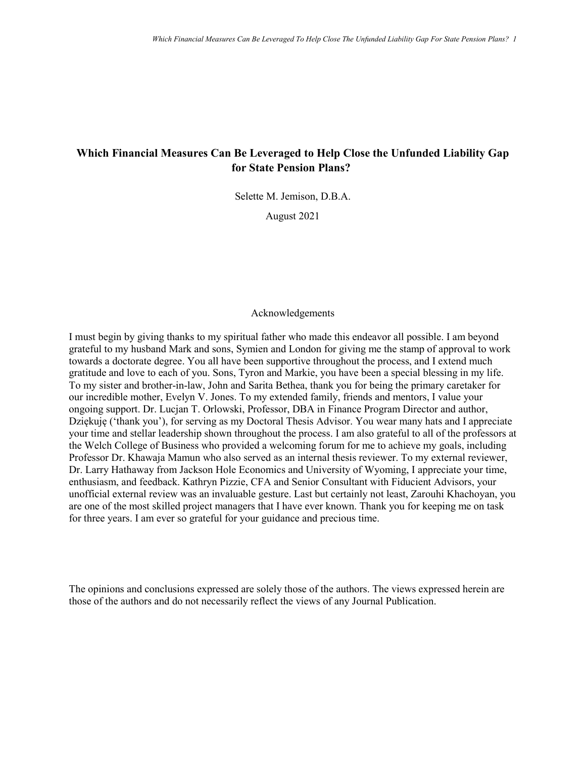# **Which Financial Measures Can Be Leveraged to Help Close the Unfunded Liability Gap for State Pension Plans?**

Selette M. Jemison, D.B.A.

August 2021

#### Acknowledgements

I must begin by giving thanks to my spiritual father who made this endeavor all possible. I am beyond grateful to my husband Mark and sons, Symien and London for giving me the stamp of approval to work towards a doctorate degree. You all have been supportive throughout the process, and I extend much gratitude and love to each of you. Sons, Tyron and Markie, you have been a special blessing in my life. To my sister and brother-in-law, John and Sarita Bethea, thank you for being the primary caretaker for our incredible mother, Evelyn V. Jones. To my extended family, friends and mentors, I value your ongoing support. Dr. Lucjan T. Orlowski, Professor, DBA in Finance Program Director and author, Dziękuję ('thank you'), for serving as my Doctoral Thesis Advisor. You wear many hats and I appreciate your time and stellar leadership shown throughout the process. I am also grateful to all of the professors at the Welch College of Business who provided a welcoming forum for me to achieve my goals, including Professor Dr. Khawaja Mamun who also served as an internal thesis reviewer. To my external reviewer, Dr. Larry Hathaway from Jackson Hole Economics and University of Wyoming, I appreciate your time, enthusiasm, and feedback. Kathryn Pizzie, CFA and Senior Consultant with Fiducient Advisors, your unofficial external review was an invaluable gesture. Last but certainly not least, Zarouhi Khachoyan, you are one of the most skilled project managers that I have ever known. Thank you for keeping me on task for three years. I am ever so grateful for your guidance and precious time.

The opinions and conclusions expressed are solely those of the authors. The views expressed herein are those of the authors and do not necessarily reflect the views of any Journal Publication.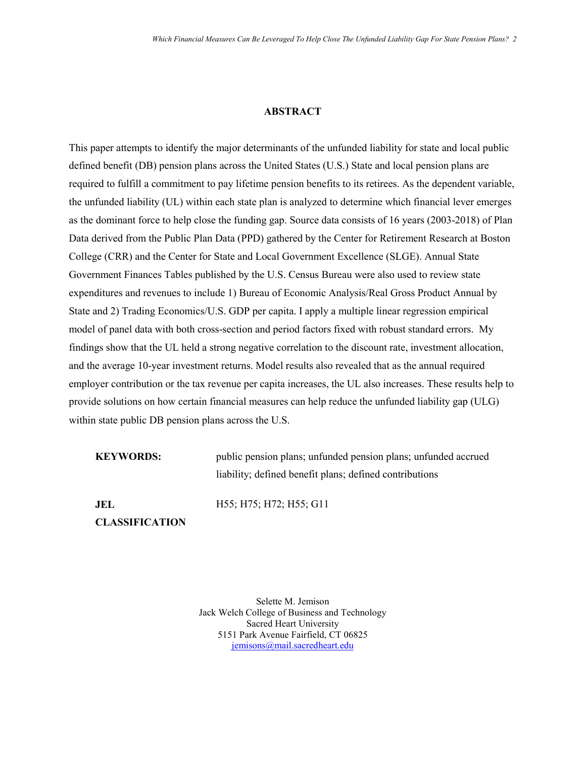#### **ABSTRACT**

This paper attempts to identify the major determinants of the unfunded liability for state and local public defined benefit (DB) pension plans across the United States (U.S.) State and local pension plans are required to fulfill a commitment to pay lifetime pension benefits to its retirees. As the dependent variable, the unfunded liability (UL) within each state plan is analyzed to determine which financial lever emerges as the dominant force to help close the funding gap. Source data consists of 16 years (2003-2018) of Plan Data derived from the Public Plan Data (PPD) gathered by the Center for Retirement Research at Boston College (CRR) and the Center for State and Local Government Excellence (SLGE). Annual State Government Finances Tables published by the U.S. Census Bureau were also used to review state expenditures and revenues to include 1) Bureau of Economic Analysis/Real Gross Product Annual by State and 2) Trading Economics/U.S. GDP per capita. I apply a multiple linear regression empirical model of panel data with both cross-section and period factors fixed with robust standard errors. My findings show that the UL held a strong negative correlation to the discount rate, investment allocation, and the average 10-year investment returns. Model results also revealed that as the annual required employer contribution or the tax revenue per capita increases, the UL also increases. These results help to provide solutions on how certain financial measures can help reduce the unfunded liability gap (ULG) within state public DB pension plans across the U.S.

**KEYWORDS:** public pension plans; unfunded pension plans; unfunded accrued liability; defined benefit plans; defined contributions

**JEL** 

H55; H75; H72; H55; G11

**CLASSIFICATION** 

Selette M. Jemison Jack Welch College of Business and Technology Sacred Heart University 5151 Park Avenue Fairfield, CT 06825 [jemisons@mail.sacredheart.edu](mailto:jemisons@mail.sacredheart.edu)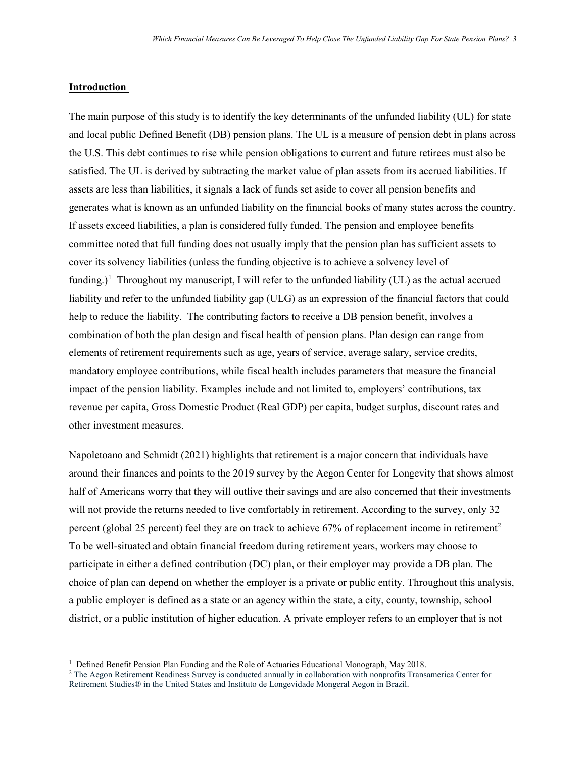#### **Introduction**

 $\overline{a}$ 

The main purpose of this study is to identify the key determinants of the unfunded liability (UL) for state and local public Defined Benefit (DB) pension plans. The UL is a measure of pension debt in plans across the U.S. This debt continues to rise while pension obligations to current and future retirees must also be satisfied. The UL is derived by subtracting the market value of plan assets from its accrued liabilities. If assets are less than liabilities, it signals a lack of funds set aside to cover all pension benefits and generates what is known as an unfunded liability on the financial books of many states across the country. If assets exceed liabilities, a plan is considered fully funded. The pension and employee benefits committee noted that full funding does not usually imply that the pension plan has sufficient assets to cover its solvency liabilities (unless the funding objective is to achieve a solvency level of funding.)<sup>[1](#page-2-0)</sup> Throughout my manuscript, I will refer to the unfunded liability (UL) as the actual accrued liability and refer to the unfunded liability gap (ULG) as an expression of the financial factors that could help to reduce the liability. The contributing factors to receive a DB pension benefit, involves a combination of both the plan design and fiscal health of pension plans. Plan design can range from elements of retirement requirements such as age, years of service, average salary, service credits, mandatory employee contributions, while fiscal health includes parameters that measure the financial impact of the pension liability. Examples include and not limited to, employers' contributions, tax revenue per capita, Gross Domestic Product (Real GDP) per capita, budget surplus, discount rates and other investment measures.

Napoletoano and Schmidt (2021) highlights that retirement is a major concern that individuals have around their finances and points to the 2019 survey by the Aegon Center for Longevity that shows almost half of Americans worry that they will outlive their savings and are also concerned that their investments will not provide the returns needed to live comfortably in retirement. According to the survey, only 32 percent (global [2](#page-2-1)5 percent) feel they are on track to achieve 67% of replacement income in retirement<sup>2</sup> To be well-situated and obtain financial freedom during retirement years, workers may choose to participate in either a defined contribution (DC) plan, or their employer may provide a DB plan. The choice of plan can depend on whether the employer is a private or public entity. Throughout this analysis, a public employer is defined as a state or an agency within the state, a city, county, township, school district, or a public institution of higher education. A private employer refers to an employer that is not

<sup>&</sup>lt;sup>1</sup> Defined Benefit Pension Plan Funding and the Role of Actuaries Educational Monograph, May 2018.

<span id="page-2-1"></span><span id="page-2-0"></span><sup>2</sup> The Aegon Retirement Readiness Survey is conducted annually in collaboration with nonprofits Transamerica Center for Retirement Studies® in the United States and Instituto de Longevidade Mongeral Aegon in Brazil.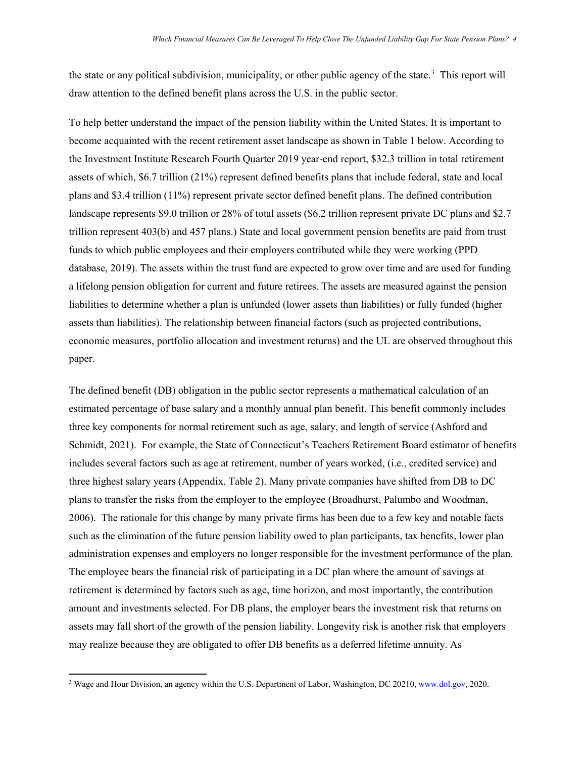the state or any political subdivision, municipality, or other public agency of the state.<sup>[3](#page-3-0)</sup> This report will draw attention to the defined benefit plans across the U.S. in the public sector.

To help better understand the impact of the pension liability within the United States. It is important to become acquainted with the recent retirement asset landscape as shown in Table 1 below. According to the Investment Institute Research Fourth Quarter 2019 year-end report, \$32.3 trillion in total retirement assets of which, \$6.7 trillion (21%) represent defined benefits plans that include federal, state and local plans and \$3.4 trillion (11%) represent private sector defined benefit plans. The defined contribution landscape represents \$9.0 trillion or 28% of total assets (\$6.2 trillion represent private DC plans and \$2.7 trillion represent 403(b) and 457 plans.) State and local government pension benefits are paid from trust funds to which public employees and their employers contributed while they were working (PPD database, 2019). The assets within the trust fund are expected to grow over time and are used for funding a lifelong pension obligation for current and future retirees. The assets are measured against the pension liabilities to determine whether a plan is unfunded (lower assets than liabilities) or fully funded (higher assets than liabilities). The relationship between financial factors (such as projected contributions, economic measures, portfolio allocation and investment returns) and the UL are observed throughout this paper.

The defined benefit (DB) obligation in the public sector represents a mathematical calculation of an estimated percentage of base salary and a monthly annual plan benefit. This benefit commonly includes three key components for normal retirement such as age, salary, and length of service (Ashford and Schmidt, 2021). For example, the State of Connecticut's Teachers Retirement Board estimator of benefits includes several factors such as age at retirement, number of years worked, (i.e., credited service) and three highest salary years (Appendix, Table 2). Many private companies have shifted from DB to DC plans to transfer the risks from the employer to the employee (Broadhurst, Palumbo and Woodman, 2006). The rationale for this change by many private firms has been due to a few key and notable facts such as the elimination of the future pension liability owed to plan participants, tax benefits, lower plan administration expenses and employers no longer responsible for the investment performance of the plan. The employee bears the financial risk of participating in a DC plan where the amount of savings at retirement is determined by factors such as age, time horizon, and most importantly, the contribution amount and investments selected. For DB plans, the employer bears the investment risk that returns on assets may fall short of the growth of the pension liability. Longevity risk is another risk that employers may realize because they are obligated to offer DB benefits as a deferred lifetime annuity. As

l

<span id="page-3-0"></span><sup>&</sup>lt;sup>3</sup> Wage and Hour Division, an agency within the U.S. Department of Labor, Washington, DC 20210[, www.dol.gov,](http://www.dol.gov/) 2020.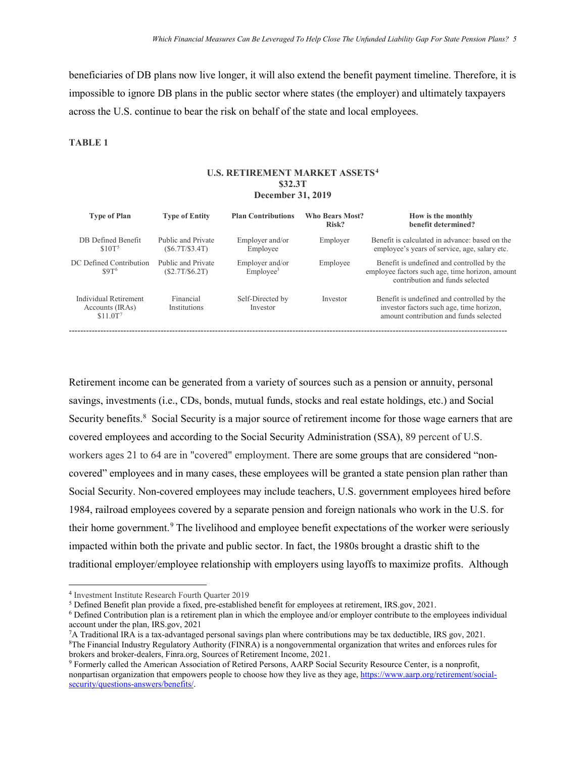beneficiaries of DB plans now live longer, it will also extend the benefit payment timeline. Therefore, it is impossible to ignore DB plans in the public sector where states (the employer) and ultimately taxpayers across the U.S. continue to bear the risk on behalf of the state and local employees.

#### **TABLE 1**

#### **U.S. RETIREMENT MARKET ASSETS[4](#page-4-0) \$32.3T December 31, 2019**

| <b>Type of Plan</b>                                              | <b>Type of Entity</b>               | <b>Plan Contributions</b>                | <b>Who Bears Most?</b><br>Risk? | How is the monthly<br>benefit determined?                                                                                        |
|------------------------------------------------------------------|-------------------------------------|------------------------------------------|---------------------------------|----------------------------------------------------------------------------------------------------------------------------------|
| DB Defined Benefit<br>\$10T <sup>5</sup>                         | Public and Private<br>(S6.7T/S3.4T) | Employer and/or<br>Employee              | Employer                        | Benefit is calculated in advance: based on the<br>employee's years of service, age, salary etc.                                  |
| DC Defined Contribution<br>S9T <sup>6</sup>                      | Public and Private<br>(S2.7T/S6.2T) | Employer and/or<br>Emplovee <sup>3</sup> | Employee                        | Benefit is undefined and controlled by the<br>employee factors such age, time horizon, amount<br>contribution and funds selected |
| Individual Retirement<br>Accounts (IRAs)<br>\$11.0T <sup>7</sup> | Financial<br>Institutions           | Self-Directed by<br>Investor             | Investor                        | Benefit is undefined and controlled by the<br>investor factors such age, time horizon,<br>amount contribution and funds selected |

Retirement income can be generated from a variety of sources such as a pension or annuity, personal savings, investments (i.e., CDs, bonds, mutual funds, stocks and real estate holdings, etc.) and Social Security benefits.<sup>[8](#page-4-4)</sup> Social Security is a major source of retirement income for those wage earners that are covered employees and according to the Social Security Administration (SSA), 89 percent of U.S. workers ages 21 to 64 are in "covered" employment. There are some groups that are considered "noncovered" employees and in many cases, these employees will be granted a state pension plan rather than Social Security. Non-covered employees may include teachers, U.S. government employees hired before 1984, railroad employees covered by a separate pension and foreign nationals who work in the U.S. for their home government.[9](#page-4-5) The livelihood and employee benefit expectations of the worker were seriously impacted within both the private and public sector. In fact, the 1980s brought a drastic shift to the traditional employer/employee relationship with employers using layoffs to maximize profits. Although

l

<span id="page-4-0"></span><sup>4</sup> Investment Institute Research Fourth Quarter 2019

<span id="page-4-1"></span><sup>5</sup> Defined Benefit plan provide a fixed, pre-established benefit for employees at retirement, IRS.gov, 2021.

<span id="page-4-2"></span><sup>6</sup> Defined Contribution plan is a retirement plan in which the employee and/or employer contribute to the employees individual account under the plan, IRS.gov, 2021

<span id="page-4-3"></span><sup>7</sup>A Traditional IRA is a tax-advantaged personal savings plan where contributions may be tax deductible, IRS gov, 2021.

<span id="page-4-4"></span><sup>8</sup>The Financial Industry Regulatory Authority (FINRA) is a nongovernmental organization that writes and enforces rules for brokers and broker-dealers, Finra.org, Sources of Retirement Income, 2021.

<span id="page-4-5"></span><sup>9</sup> Formerly called the American Association of Retired Persons, AARP Social Security Resource Center, is a nonprofit, nonpartisan organization that empowers people to choose how they live as they age, [https://www.aarp.org/retirement/social](https://www.aarp.org/retirement/social-security/questions-answers/benefits/)[security/questions-answers/benefits/.](https://www.aarp.org/retirement/social-security/questions-answers/benefits/)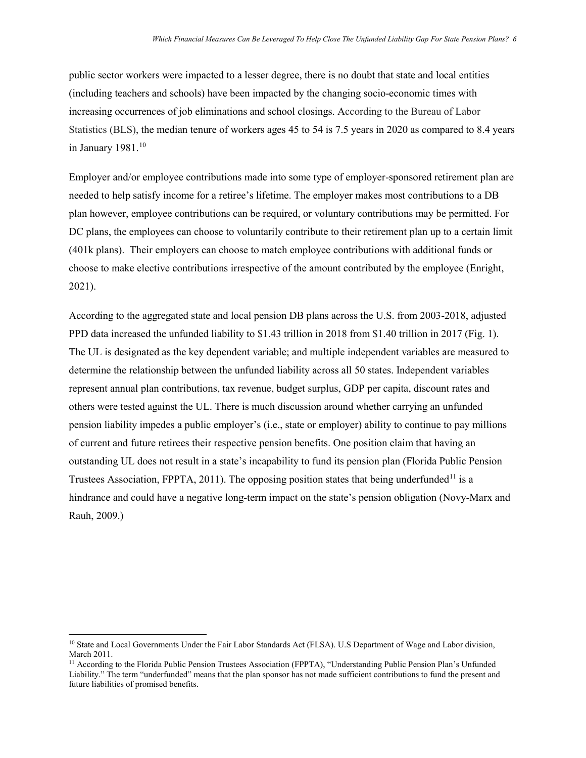public sector workers were impacted to a lesser degree, there is no doubt that state and local entities (including teachers and schools) have been impacted by the changing socio-economic times with increasing occurrences of job eliminations and school closings. According to the Bureau of Labor Statistics (BLS), the median tenure of workers ages 45 to 54 is 7.5 years in 2020 as compared to 8.4 years in January 1981.<sup>[10](#page-5-0)</sup>

Employer and/or employee contributions made into some type of employer-sponsored retirement plan are needed to help satisfy income for a retiree's lifetime. The employer makes most contributions to a DB plan however, employee contributions can be required, or voluntary contributions may be permitted. For DC plans, the employees can choose to voluntarily contribute to their retirement plan up to a certain limit (401k plans). Their employers can choose to match employee contributions with additional funds or choose to make elective contributions irrespective of the amount contributed by the employee (Enright, 2021).

According to the aggregated state and local pension DB plans across the U.S. from 2003-2018, adjusted PPD data increased the unfunded liability to \$1.43 trillion in 2018 from \$1.40 trillion in 2017 (Fig. 1). The UL is designated as the key dependent variable; and multiple independent variables are measured to determine the relationship between the unfunded liability across all 50 states. Independent variables represent annual plan contributions, tax revenue, budget surplus, GDP per capita, discount rates and others were tested against the UL. There is much discussion around whether carrying an unfunded pension liability impedes a public employer's (i.e., state or employer) ability to continue to pay millions of current and future retirees their respective pension benefits. One position claim that having an outstanding UL does not result in a state's incapability to fund its pension plan (Florida Public Pension Trustees Association, FPPTA, 20[11](#page-5-1)). The opposing position states that being underfunded<sup>11</sup> is a hindrance and could have a negative long-term impact on the state's pension obligation (Novy-Marx and Rauh, 2009.)

 $\overline{a}$ 

<span id="page-5-0"></span><sup>&</sup>lt;sup>10</sup> State and Local Governments Under the Fair Labor Standards Act (FLSA). U.S Department of Wage and Labor division, March 2011.

<span id="page-5-1"></span><sup>&</sup>lt;sup>11</sup> According to the Florida Public Pension Trustees Association (FPPTA), "Understanding Public Pension Plan's Unfunded Liability." The term "underfunded" means that the plan sponsor has not made sufficient contributions to fund the present and future liabilities of promised benefits.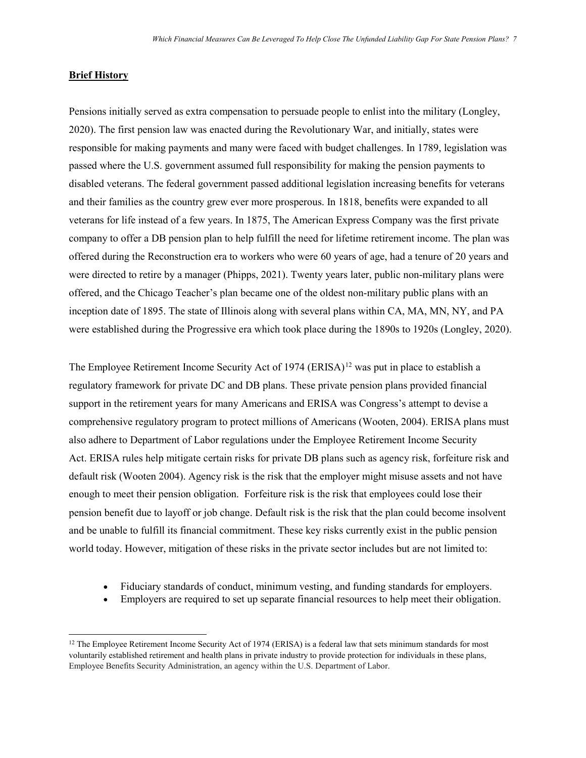#### **Brief History**

 $\overline{\phantom{a}}$ 

Pensions initially served as extra compensation to persuade people to enlist into the military (Longley, 2020). The first pension law was enacted during the Revolutionary War, and initially, states were responsible for making payments and many were faced with budget challenges. In 1789, legislation was passed where the U.S. government assumed full responsibility for making the pension payments to disabled veterans. The federal government passed additional legislation increasing benefits for veterans and their families as the country grew ever more prosperous. In 1818, benefits were expanded to all veterans for life instead of a few years. In 1875, The American Express Company was the first private company to offer a DB pension plan to help fulfill the need for lifetime retirement income. The plan was offered during the Reconstruction era to workers who were 60 years of age, had a tenure of 20 years and were directed to retire by a manager (Phipps, 2021). Twenty years later, public non-military plans were offered, and the Chicago Teacher's plan became one of the oldest non-military public plans with an inception date of 1895. The state of Illinois along with several plans within CA, MA, MN, NY, and PA were established during the Progressive era which took place during the 1890s to 1920s (Longley, 2020).

The Employee Retirement Income Security Act of 1974 (ERISA)<sup>[12](#page-6-0)</sup> was put in place to establish a regulatory framework for private DC and DB plans. These private pension plans provided financial support in the retirement years for many Americans and ERISA was Congress's attempt to devise a comprehensive regulatory program to protect millions of Americans (Wooten, 2004). ERISA plans must also adhere to Department of Labor regulations under the Employee Retirement Income Security Act. ERISA rules help mitigate certain risks for private DB plans such as agency risk, forfeiture risk and default risk (Wooten 2004). Agency risk is the risk that the employer might misuse assets and not have enough to meet their pension obligation. Forfeiture risk is the risk that employees could lose their pension benefit due to layoff or job change. Default risk is the risk that the plan could become insolvent and be unable to fulfill its financial commitment. These key risks currently exist in the public pension world today. However, mitigation of these risks in the private sector includes but are not limited to:

- Fiduciary standards of conduct, minimum vesting, and funding standards for employers.
- Employers are required to set up separate financial resources to help meet their obligation.

<span id="page-6-0"></span> $12$  The Employee Retirement Income Security Act of 1974 (ERISA) is a federal law that sets minimum standards for most voluntarily established retirement and health plans in private industry to provide protection for individuals in these plans, Employee Benefits Security Administration, an agency within the U.S. Department of Labor.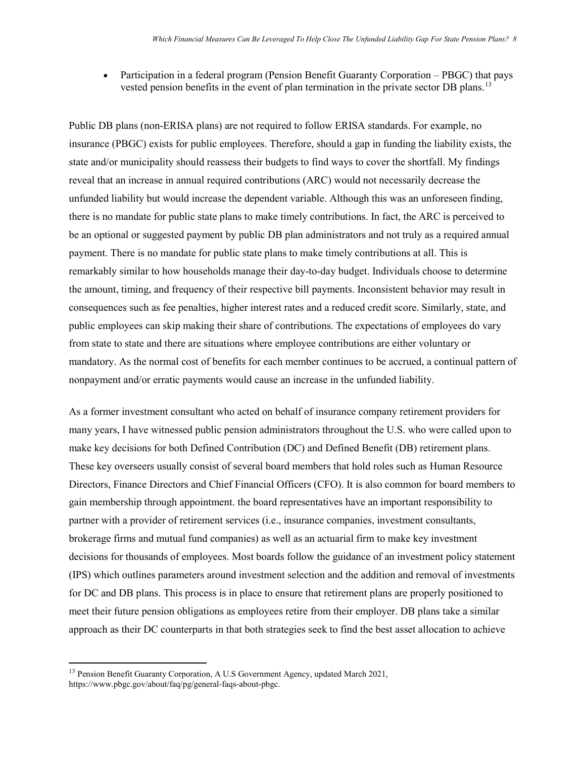• Participation in a federal program (Pension Benefit Guaranty Corporation – PBGC) that pays vested pension benefits in the event of plan termination in the private sector DB plans.<sup>[13](#page-7-0)</sup>

Public DB plans (non-ERISA plans) are not required to follow ERISA standards. For example, no insurance (PBGC) exists for public employees. Therefore, should a gap in funding the liability exists, the state and/or municipality should reassess their budgets to find ways to cover the shortfall. My findings reveal that an increase in annual required contributions (ARC) would not necessarily decrease the unfunded liability but would increase the dependent variable. Although this was an unforeseen finding, there is no mandate for public state plans to make timely contributions. In fact, the ARC is perceived to be an optional or suggested payment by public DB plan administrators and not truly as a required annual payment. There is no mandate for public state plans to make timely contributions at all. This is remarkably similar to how households manage their day-to-day budget. Individuals choose to determine the amount, timing, and frequency of their respective bill payments. Inconsistent behavior may result in consequences such as fee penalties, higher interest rates and a reduced credit score. Similarly, state, and public employees can skip making their share of contributions. The expectations of employees do vary from state to state and there are situations where employee contributions are either voluntary or mandatory. As the normal cost of benefits for each member continues to be accrued, a continual pattern of nonpayment and/or erratic payments would cause an increase in the unfunded liability.

As a former investment consultant who acted on behalf of insurance company retirement providers for many years, I have witnessed public pension administrators throughout the U.S. who were called upon to make key decisions for both Defined Contribution (DC) and Defined Benefit (DB) retirement plans. These key overseers usually consist of several board members that hold roles such as Human Resource Directors, Finance Directors and Chief Financial Officers (CFO). It is also common for board members to gain membership through appointment. the board representatives have an important responsibility to partner with a provider of retirement services (i.e., insurance companies, investment consultants, brokerage firms and mutual fund companies) as well as an actuarial firm to make key investment decisions for thousands of employees. Most boards follow the guidance of an investment policy statement (IPS) which outlines parameters around investment selection and the addition and removal of investments for DC and DB plans. This process is in place to ensure that retirement plans are properly positioned to meet their future pension obligations as employees retire from their employer. DB plans take a similar approach as their DC counterparts in that both strategies seek to find the best asset allocation to achieve

 $\overline{\phantom{a}}$ 

<span id="page-7-0"></span><sup>&</sup>lt;sup>13</sup> Pension Benefit Guaranty Corporation, A U.S Government Agency, updated March 2021, https://www.pbgc.gov/about/faq/pg/general-faqs-about-pbgc.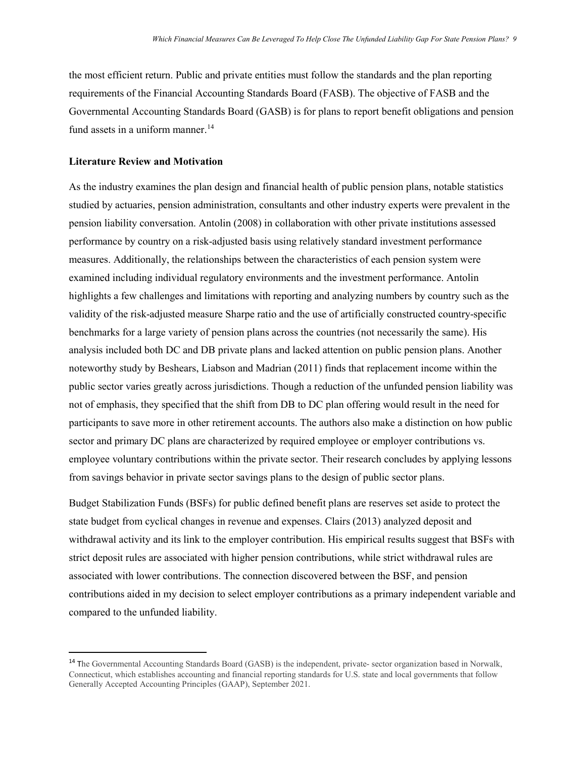the most efficient return. Public and private entities must follow the standards and the plan reporting requirements of the Financial Accounting Standards Board (FASB). The objective of FASB and the Governmental Accounting Standards Board (GASB) is for plans to report benefit obligations and pension fund assets in a uniform manner.<sup>[14](#page-8-0)</sup>

#### **Literature Review and Motivation**

As the industry examines the plan design and financial health of public pension plans, notable statistics studied by actuaries, pension administration, consultants and other industry experts were prevalent in the pension liability conversation. Antolin (2008) in collaboration with other private institutions assessed performance by country on a risk-adjusted basis using relatively standard investment performance measures. Additionally, the relationships between the characteristics of each pension system were examined including individual regulatory environments and the investment performance. Antolin highlights a few challenges and limitations with reporting and analyzing numbers by country such as the validity of the risk-adjusted measure Sharpe ratio and the use of artificially constructed country-specific benchmarks for a large variety of pension plans across the countries (not necessarily the same). His analysis included both DC and DB private plans and lacked attention on public pension plans. Another noteworthy study by Beshears, Liabson and Madrian (2011) finds that replacement income within the public sector varies greatly across jurisdictions. Though a reduction of the unfunded pension liability was not of emphasis, they specified that the shift from DB to DC plan offering would result in the need for participants to save more in other retirement accounts. The authors also make a distinction on how public sector and primary DC plans are characterized by required employee or employer contributions vs. employee voluntary contributions within the private sector. Their research concludes by applying lessons from savings behavior in private sector savings plans to the design of public sector plans.

Budget Stabilization Funds (BSFs) for public defined benefit plans are reserves set aside to protect the state budget from cyclical changes in revenue and expenses. Clairs (2013) analyzed deposit and withdrawal activity and its link to the employer contribution. His empirical results suggest that BSFs with strict deposit rules are associated with higher pension contributions, while strict withdrawal rules are associated with lower contributions. The connection discovered between the BSF, and pension contributions aided in my decision to select employer contributions as a primary independent variable and compared to the unfunded liability.

<span id="page-8-0"></span><sup>&</sup>lt;sup>14</sup> The Governmental Accounting Standards Board (GASB) is the independent, private- sector organization based in Norwalk, Connecticut, which establishes accounting and financial reporting standards for U.S. state and local governments that follow Generally Accepted Accounting Principles (GAAP), September 2021.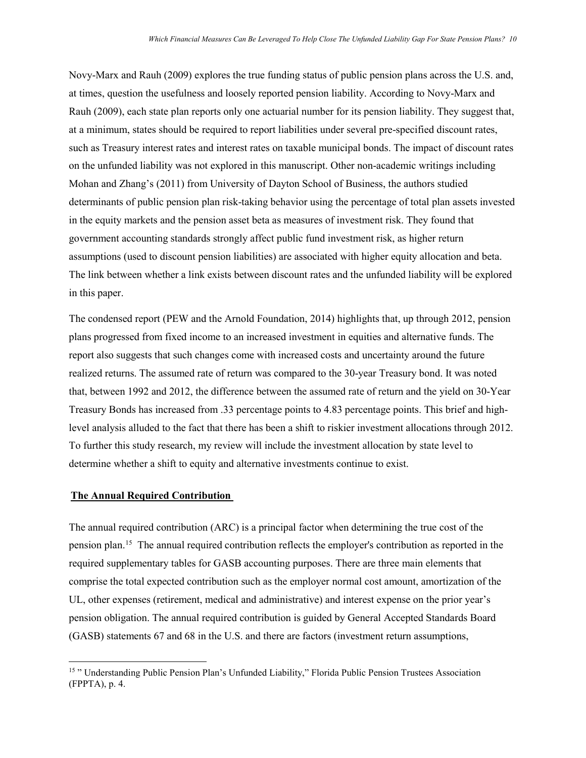Novy-Marx and Rauh (2009) explores the true funding status of public pension plans across the U.S. and, at times, question the usefulness and loosely reported pension liability. According to Novy-Marx and Rauh (2009), each state plan reports only one actuarial number for its pension liability. They suggest that, at a minimum, states should be required to report liabilities under several pre-specified discount rates, such as Treasury interest rates and interest rates on taxable municipal bonds. The impact of discount rates on the unfunded liability was not explored in this manuscript. Other non-academic writings including Mohan and Zhang's (2011) from University of Dayton School of Business, the authors studied determinants of public pension plan risk-taking behavior using the percentage of total plan assets invested in the equity markets and the pension asset beta as measures of investment risk. They found that government accounting standards strongly affect public fund investment risk, as higher return assumptions (used to discount pension liabilities) are associated with higher equity allocation and beta. The link between whether a link exists between discount rates and the unfunded liability will be explored in this paper.

The condensed report (PEW and the Arnold Foundation, 2014) highlights that, up through 2012, pension plans progressed from fixed income to an increased investment in equities and alternative funds. The report also suggests that such changes come with increased costs and uncertainty around the future realized returns. The assumed rate of return was compared to the 30-year Treasury bond. It was noted that, between 1992 and 2012, the difference between the assumed rate of return and the yield on 30-Year Treasury Bonds has increased from .33 percentage points to 4.83 percentage points. This brief and highlevel analysis alluded to the fact that there has been a shift to riskier investment allocations through 2012. To further this study research, my review will include the investment allocation by state level to determine whether a shift to equity and alternative investments continue to exist.

#### **The Annual Required Contribution**

l

The annual required contribution (ARC) is a principal factor when determining the true cost of the pension plan.[15](#page-9-0) The annual required contribution reflects the employer's contribution as reported in the required supplementary tables for GASB accounting purposes. There are three main elements that comprise the total expected contribution such as the employer normal cost amount, amortization of the UL, other expenses (retirement, medical and administrative) and interest expense on the prior year's pension obligation. The annual required contribution is guided by General Accepted Standards Board (GASB) statements 67 and 68 in the U.S. and there are factors (investment return assumptions,

<span id="page-9-0"></span><sup>15</sup> " Understanding Public Pension Plan's Unfunded Liability," Florida Public Pension Trustees Association (FPPTA), p. 4.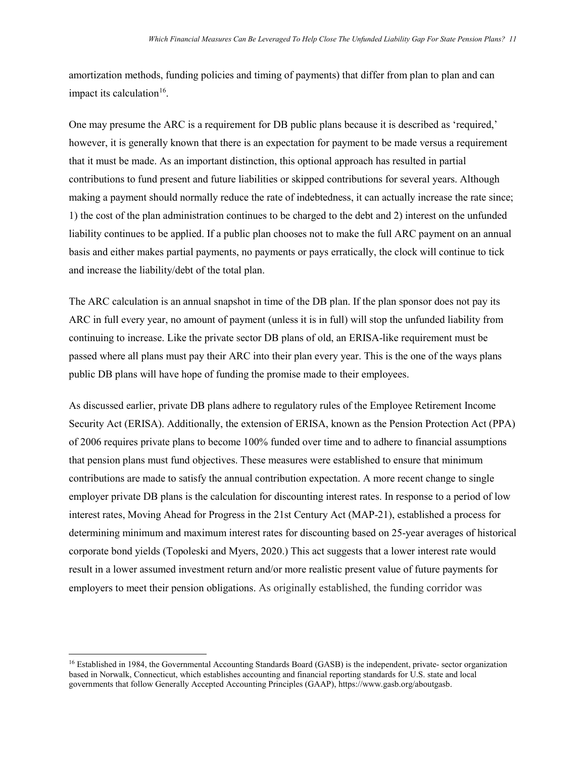amortization methods, funding policies and timing of payments) that differ from plan to plan and can impact its calculation<sup>16</sup>.

One may presume the ARC is a requirement for DB public plans because it is described as 'required,' however, it is generally known that there is an expectation for payment to be made versus a requirement that it must be made. As an important distinction, this optional approach has resulted in partial contributions to fund present and future liabilities or skipped contributions for several years. Although making a payment should normally reduce the rate of indebtedness, it can actually increase the rate since; 1) the cost of the plan administration continues to be charged to the debt and 2) interest on the unfunded liability continues to be applied. If a public plan chooses not to make the full ARC payment on an annual basis and either makes partial payments, no payments or pays erratically, the clock will continue to tick and increase the liability/debt of the total plan.

The ARC calculation is an annual snapshot in time of the DB plan. If the plan sponsor does not pay its ARC in full every year, no amount of payment (unless it is in full) will stop the unfunded liability from continuing to increase. Like the private sector DB plans of old, an ERISA-like requirement must be passed where all plans must pay their ARC into their plan every year. This is the one of the ways plans public DB plans will have hope of funding the promise made to their employees.

As discussed earlier, private DB plans adhere to regulatory rules of the Employee Retirement Income Security Act (ERISA). Additionally, the extension of ERISA, known as the Pension Protection Act (PPA) of 2006 requires private plans to become 100% funded over time and to adhere to financial assumptions that pension plans must fund objectives. These measures were established to ensure that minimum contributions are made to satisfy the annual contribution expectation. A more recent change to single employer private DB plans is the calculation for discounting interest rates. In response to a period of low interest rates, Moving Ahead for Progress in the 21st Century Act (MAP-21), established a process for determining minimum and maximum interest rates for discounting based on 25-year averages of historical corporate bond yields (Topoleski and Myers, 2020.) This act suggests that a lower interest rate would result in a lower assumed investment return and/or more realistic present value of future payments for employers to meet their pension obligations. As originally established, the funding corridor was

 $\overline{a}$ 

<span id="page-10-0"></span><sup>&</sup>lt;sup>16</sup> Established in 1984, the Governmental Accounting Standards Board (GASB) is the independent, private- sector organization based in Norwalk, Connecticut, which establishes accounting and financial reporting standards for U.S. state and local governments that follow Generally Accepted Accounting Principles (GAAP), https://www.gasb.org/aboutgasb.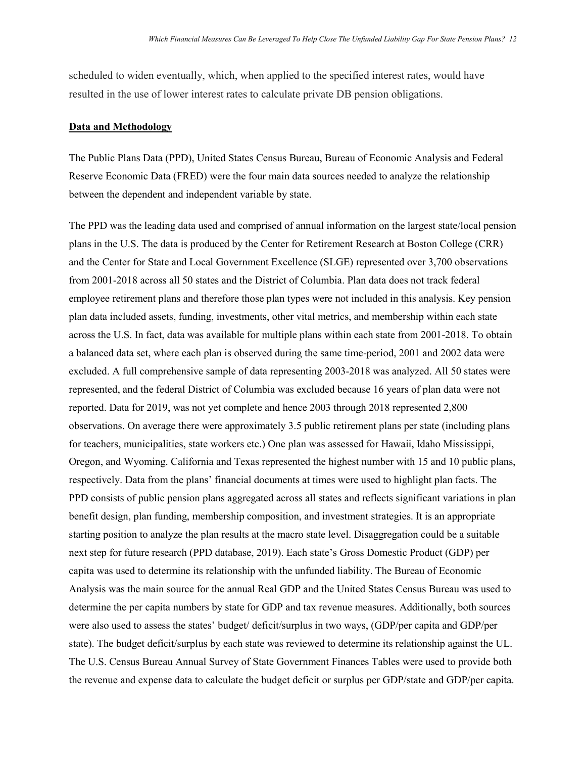scheduled to widen eventually, which, when applied to the specified interest rates, would have resulted in the use of lower interest rates to calculate private DB pension obligations.

#### **Data and Methodology**

The Public Plans Data (PPD), United States Census Bureau, Bureau of Economic Analysis and Federal Reserve Economic Data (FRED) were the four main data sources needed to analyze the relationship between the dependent and independent variable by state.

The PPD was the leading data used and comprised of annual information on the largest state/local pension plans in the U.S. The data is produced by the Center for Retirement Research at Boston College (CRR) and the Center for State and Local Government Excellence (SLGE) represented over 3,700 observations from 2001-2018 across all 50 states and the District of Columbia. Plan data does not track federal employee retirement plans and therefore those plan types were not included in this analysis. Key pension plan data included assets, funding, investments, other vital metrics, and membership within each state across the U.S. In fact, data was available for multiple plans within each state from 2001-2018. To obtain a balanced data set, where each plan is observed during the same time-period, 2001 and 2002 data were excluded. A full comprehensive sample of data representing 2003-2018 was analyzed. All 50 states were represented, and the federal District of Columbia was excluded because 16 years of plan data were not reported. Data for 2019, was not yet complete and hence 2003 through 2018 represented 2,800 observations. On average there were approximately 3.5 public retirement plans per state (including plans for teachers, municipalities, state workers etc.) One plan was assessed for Hawaii, Idaho Mississippi, Oregon, and Wyoming. California and Texas represented the highest number with 15 and 10 public plans, respectively. Data from the plans' financial documents at times were used to highlight plan facts. The PPD consists of public pension plans aggregated across all states and reflects significant variations in plan benefit design, plan funding, membership composition, and investment strategies. It is an appropriate starting position to analyze the plan results at the macro state level. Disaggregation could be a suitable next step for future research (PPD database, 2019). Each state's Gross Domestic Product (GDP) per capita was used to determine its relationship with the unfunded liability. The Bureau of Economic Analysis was the main source for the annual Real GDP and the United States Census Bureau was used to determine the per capita numbers by state for GDP and tax revenue measures. Additionally, both sources were also used to assess the states' budget/ deficit/surplus in two ways, (GDP/per capita and GDP/per state). The budget deficit/surplus by each state was reviewed to determine its relationship against the UL. The U.S. Census Bureau Annual Survey of State Government Finances Tables were used to provide both the revenue and expense data to calculate the budget deficit or surplus per GDP/state and GDP/per capita.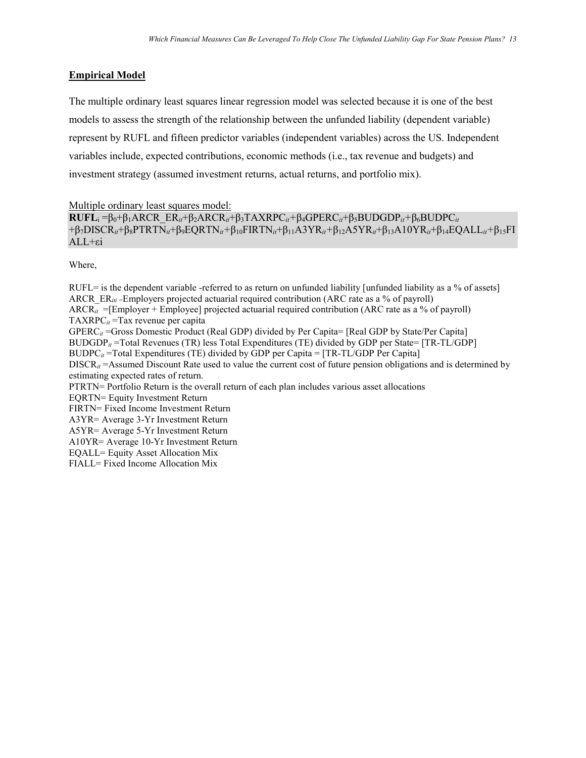## **Empirical Model**

The multiple ordinary least squares linear regression model was selected because it is one of the best models to assess the strength of the relationship between the unfunded liability (dependent variable) represent by RUFL and fifteen predictor variables (independent variables) across the US. Independent variables include, expected contributions, economic methods (i.e., tax revenue and budgets) and investment strategy (assumed investment returns, actual returns, and portfolio mix).

Multiple ordinary least squares model:

**RUFL**<sup>i</sup> =β0+β1ARCR\_ER*it*+β2ARCR*it*+β3TAXRPC*it+*β4GPERC*it*+β5BUDGDP*it+*β6BUDPC*it* +β7DISCR*it*+β8PTRTN*it*+β9EQRTN*it+*β10FIRTN*it*+β11A3YR*it+*β12A5YR*it*+β13A10YR*it*+β14EQALL*it+*β15FI ALL+εi

Where,

 $RUFL=$  is the dependent variable -referred to as return on unfunded liability [unfunded liability as a % of assets] ARCR\_ER<sub>iti</sub> = Employers projected actuarial required contribution (ARC rate as a % of payroll) ARCR*it* =[Employer + Employee] projected actuarial required contribution (ARC rate as a % of payroll) TAXRPC*it* =Tax revenue per capita GPERC*it* =Gross Domestic Product (Real GDP) divided by Per Capita= [Real GDP by State/Per Capita] BUDGDP*it* =Total Revenues (TR) less Total Expenditures (TE) divided by GDP per State= [TR-TL/GDP] BUDPC*it* =Total Expenditures (TE) divided by GDP per Capita = [TR-TL/GDP Per Capita] DISCR*it* =Assumed Discount Rate used to value the current cost of future pension obligations and is determined by estimating expected rates of return. PTRTN= Portfolio Return is the overall return of each plan includes various asset allocations EQRTN= Equity Investment Return FIRTN= Fixed Income Investment Return A3YR= Average 3-Yr Investment Return A5YR= Average 5-Yr Investment Return A10YR= Average 10-Yr Investment Return EQALL= Equity Asset Allocation Mix FIALL= Fixed Income Allocation Mix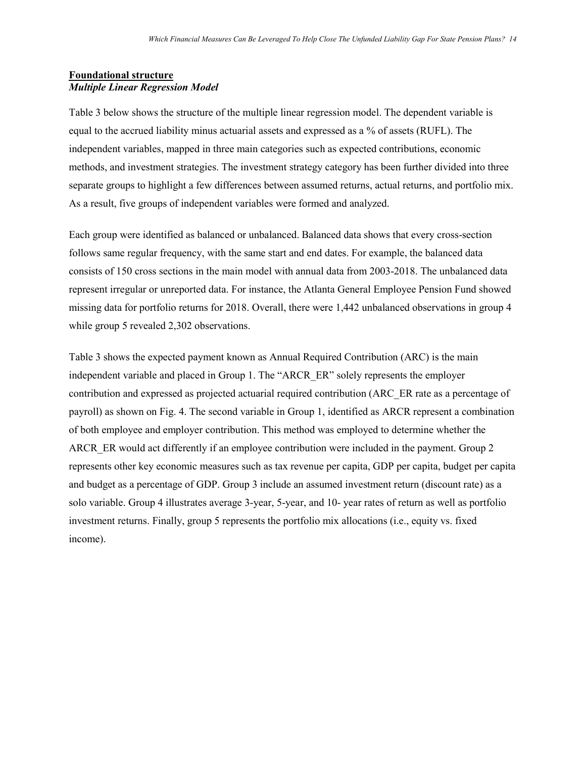## **Foundational structure** *Multiple Linear Regression Model*

Table 3 below shows the structure of the multiple linear regression model. The dependent variable is equal to the accrued liability minus actuarial assets and expressed as a % of assets (RUFL). The independent variables, mapped in three main categories such as expected contributions, economic methods, and investment strategies. The investment strategy category has been further divided into three separate groups to highlight a few differences between assumed returns, actual returns, and portfolio mix. As a result, five groups of independent variables were formed and analyzed.

Each group were identified as balanced or unbalanced. Balanced data shows that every cross-section follows same regular frequency, with the same start and end dates. For example, the balanced data consists of 150 cross sections in the main model with annual data from 2003-2018. The unbalanced data represent irregular or unreported data. For instance, the Atlanta General Employee Pension Fund showed missing data for portfolio returns for 2018. Overall, there were 1,442 unbalanced observations in group 4 while group 5 revealed 2,302 observations.

Table 3 shows the expected payment known as Annual Required Contribution (ARC) is the main independent variable and placed in Group 1. The "ARCR\_ER" solely represents the employer contribution and expressed as projected actuarial required contribution (ARC\_ER rate as a percentage of payroll) as shown on Fig. 4. The second variable in Group 1, identified as ARCR represent a combination of both employee and employer contribution. This method was employed to determine whether the ARCR\_ER would act differently if an employee contribution were included in the payment. Group 2 represents other key economic measures such as tax revenue per capita, GDP per capita, budget per capita and budget as a percentage of GDP. Group 3 include an assumed investment return (discount rate) as a solo variable. Group 4 illustrates average 3-year, 5-year, and 10- year rates of return as well as portfolio investment returns. Finally, group 5 represents the portfolio mix allocations (i.e., equity vs. fixed income).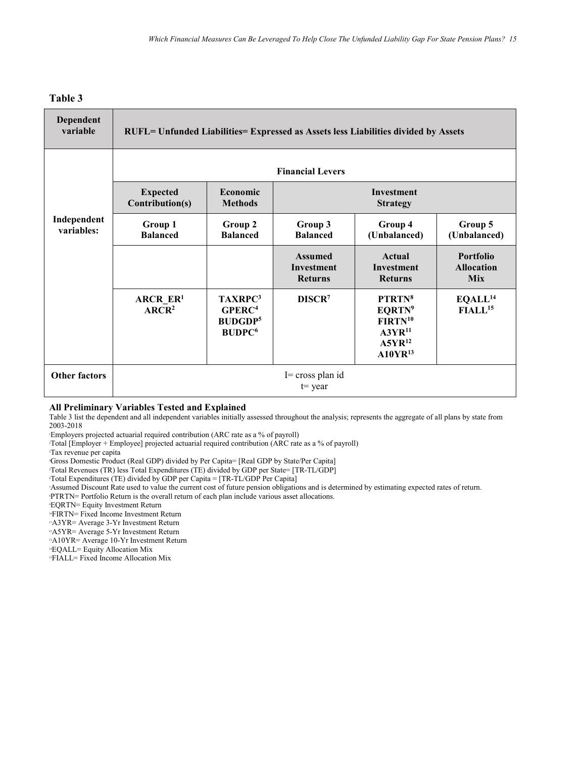#### **Table 3**

| <b>Dependent</b><br>variable | <b>RUFL= Unfunded Liabilities= Expressed as Assets less Liabilities divided by Assets</b> |                                                                                         |                                                       |                                                                                                        |                                              |
|------------------------------|-------------------------------------------------------------------------------------------|-----------------------------------------------------------------------------------------|-------------------------------------------------------|--------------------------------------------------------------------------------------------------------|----------------------------------------------|
|                              |                                                                                           |                                                                                         | <b>Financial Levers</b>                               |                                                                                                        |                                              |
|                              | <b>Expected</b><br>Contribution(s)                                                        | Economic<br><b>Methods</b>                                                              |                                                       | <b>Investment</b><br><b>Strategy</b>                                                                   |                                              |
| Independent<br>variables:    | Group 1<br><b>Balanced</b>                                                                | Group 2<br><b>Balanced</b>                                                              | Group 3<br><b>Balanced</b>                            | Group 4<br>(Unbalanced)                                                                                | Group 5<br>(Unbalanced)                      |
|                              |                                                                                           |                                                                                         | <b>Assumed</b><br><b>Investment</b><br><b>Returns</b> | Actual<br><b>Investment</b><br><b>Returns</b>                                                          | Portfolio<br><b>Allocation</b><br><b>Mix</b> |
|                              | <b>ARCR ER1</b><br>ARCR <sup>2</sup>                                                      | TAXRPC <sup>3</sup><br>GPERC <sup>4</sup><br><b>BUDGDP5</b><br><b>BUDPC<sup>6</sup></b> | DISCR <sup>7</sup>                                    | PTRTN <sup>8</sup><br>EQRTN <sup>9</sup><br>$FIRTN^{10}$<br>$A3YR^{11}$<br>$A5YR^{12}$<br>$A10YR^{13}$ | EQALL <sup>14</sup><br>$FIALL15$             |
| <b>Other factors</b>         |                                                                                           |                                                                                         | $I = cross planid$<br>$t = \text{year}$               |                                                                                                        |                                              |

#### **All Preliminary Variables Tested and Explained**

Table 3 list the dependent and all independent variables initially assessed throughout the analysis; represents the aggregate of all plans by state from 2003-2018

1 Employers projected actuarial required contribution (ARC rate as a % of payroll)

2 Total [Employer + Employee] projected actuarial required contribution (ARC rate as a % of payroll)

3 Tax revenue per capita

4 Gross Domestic Product (Real GDP) divided by Per Capita= [Real GDP by State/Per Capita]

5 Total Revenues (TR) less Total Expenditures (TE) divided by GDP per State= [TR-TL/GDP]

6 Total Expenditures (TE) divided by GDP per Capita = [TR-TL/GDP Per Capita]

7 Assumed Discount Rate used to value the current cost of future pension obligations and is determined by estimating expected rates of return.

8 PTRTN= Portfolio Return is the overall return of each plan include various asset allocations.

9 EQRTN= Equity Investment Return

<sup>10</sup>FIRTN= Fixed Income Investment Return

<sup>11</sup>A3YR= Average 3-Yr Investment Return

<sup>12</sup>A5YR= Average 5-Yr Investment Return

13A10YR= Average 10-Yr Investment Return

14EQALL= Equity Allocation Mix

15FIALL= Fixed Income Allocation Mix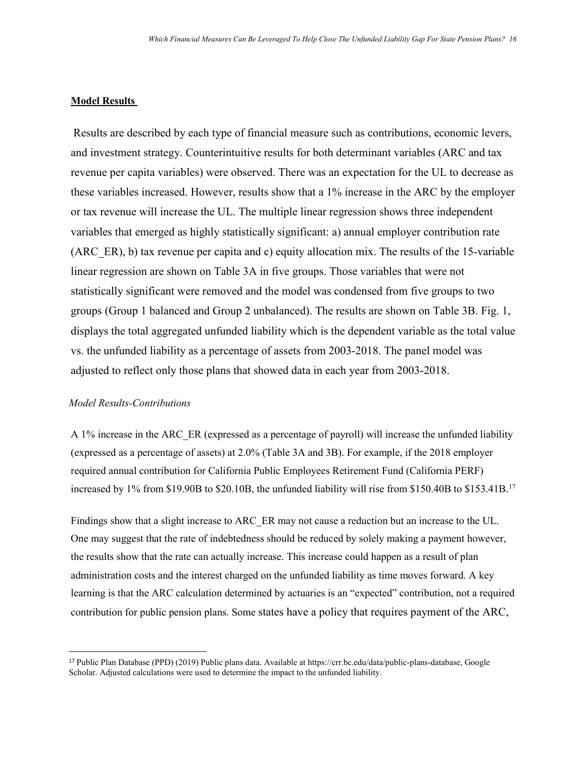#### **Model Results**

Results are described by each type of financial measure such as contributions, economic levers, and investment strategy. Counterintuitive results for both determinant variables (ARC and tax revenue per capita variables) were observed. There was an expectation for the UL to decrease as these variables increased. However, results show that a 1% increase in the ARC by the employer or tax revenue will increase the UL. The multiple linear regression shows three independent variables that emerged as highly statistically significant: a) annual employer contribution rate (ARC\_ER), b) tax revenue per capita and c) equity allocation mix. The results of the 15-variable linear regression are shown on Table 3A in five groups. Those variables that were not statistically significant were removed and the model was condensed from five groups to two groups (Group 1 balanced and Group 2 unbalanced). The results are shown on Table 3B. Fig. 1, displays the total aggregated unfunded liability which is the dependent variable as the total value vs. the unfunded liability as a percentage of assets from 2003-2018. The panel model was adjusted to reflect only those plans that showed data in each year from 2003-2018.

#### *Model Results-Contributions*

A 1% increase in the ARC\_ER (expressed as a percentage of payroll) will increase the unfunded liability (expressed as a percentage of assets) at 2.0% (Table 3A and 3B). For example, if the 2018 employer required annual contribution for California Public Employees Retirement Fund (California PERF) increased by 1% from \$19.90B to \$20.10B, the unfunded liability will rise from \$150.40B to \$153.41B. [17](#page-15-0) 

Findings show that a slight increase to ARC\_ER may not cause a reduction but an increase to the UL. One may suggest that the rate of indebtedness should be reduced by solely making a payment however, the results show that the rate can actually increase. This increase could happen as a result of plan administration costs and the interest charged on the unfunded liability as time moves forward. A key learning is that the ARC calculation determined by actuaries is an "expected" contribution, not a required contribution for public pension plans. Some states have a policy that requires payment of the ARC,

<span id="page-15-0"></span> <sup>17</sup> Public Plan Database (PPD) (2019) Public plans data. Available at https://crr.bc.edu/data/public-plans-database, Google Scholar. Adjusted calculations were used to determine the impact to the unfunded liability.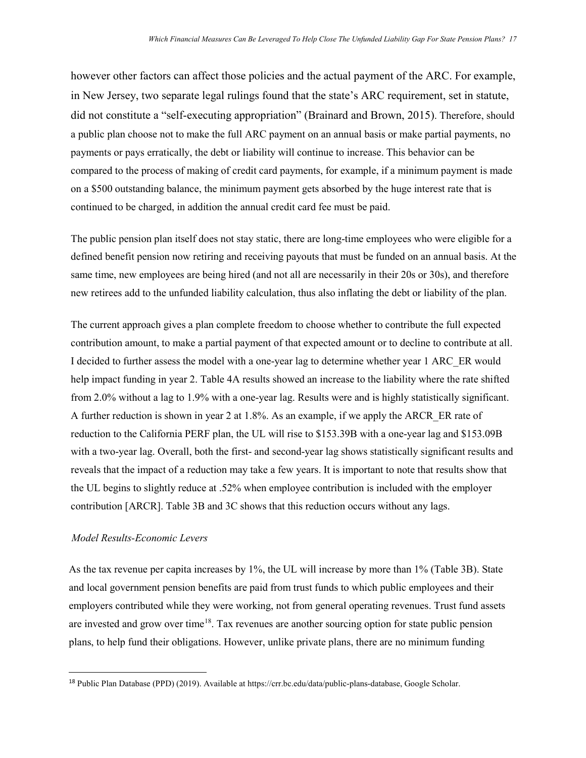however other factors can affect those policies and the actual payment of the ARC. For example, in New Jersey, two separate legal rulings found that the state's ARC requirement, set in statute, did not constitute a "self-executing appropriation" (Brainard and Brown, 2015). Therefore, should a public plan choose not to make the full ARC payment on an annual basis or make partial payments, no payments or pays erratically, the debt or liability will continue to increase. This behavior can be compared to the process of making of credit card payments, for example, if a minimum payment is made on a \$500 outstanding balance, the minimum payment gets absorbed by the huge interest rate that is continued to be charged, in addition the annual credit card fee must be paid.

The public pension plan itself does not stay static, there are long-time employees who were eligible for a defined benefit pension now retiring and receiving payouts that must be funded on an annual basis. At the same time, new employees are being hired (and not all are necessarily in their 20s or 30s), and therefore new retirees add to the unfunded liability calculation, thus also inflating the debt or liability of the plan.

The current approach gives a plan complete freedom to choose whether to contribute the full expected contribution amount, to make a partial payment of that expected amount or to decline to contribute at all. I decided to further assess the model with a one-year lag to determine whether year 1 ARC\_ER would help impact funding in year 2. Table 4A results showed an increase to the liability where the rate shifted from 2.0% without a lag to 1.9% with a one-year lag. Results were and is highly statistically significant. A further reduction is shown in year 2 at 1.8%. As an example, if we apply the ARCR\_ER rate of reduction to the California PERF plan, the UL will rise to \$153.39B with a one-year lag and \$153.09B with a two-year lag. Overall, both the first- and second-year lag shows statistically significant results and reveals that the impact of a reduction may take a few years. It is important to note that results show that the UL begins to slightly reduce at .52% when employee contribution is included with the employer contribution [ARCR]. Table 3B and 3C shows that this reduction occurs without any lags.

#### *Model Results-Economic Levers*

As the tax revenue per capita increases by 1%, the UL will increase by more than 1% (Table 3B). State and local government pension benefits are paid from trust funds to which public employees and their employers contributed while they were working, not from general operating revenues. Trust fund assets are invested and grow over time<sup>18</sup>. Tax revenues are another sourcing option for state public pension plans, to help fund their obligations. However, unlike private plans, there are no minimum funding

<span id="page-16-0"></span> <sup>18</sup> Public Plan Database (PPD) (2019). Available at https://crr.bc.edu/data/public-plans-database, Google Scholar.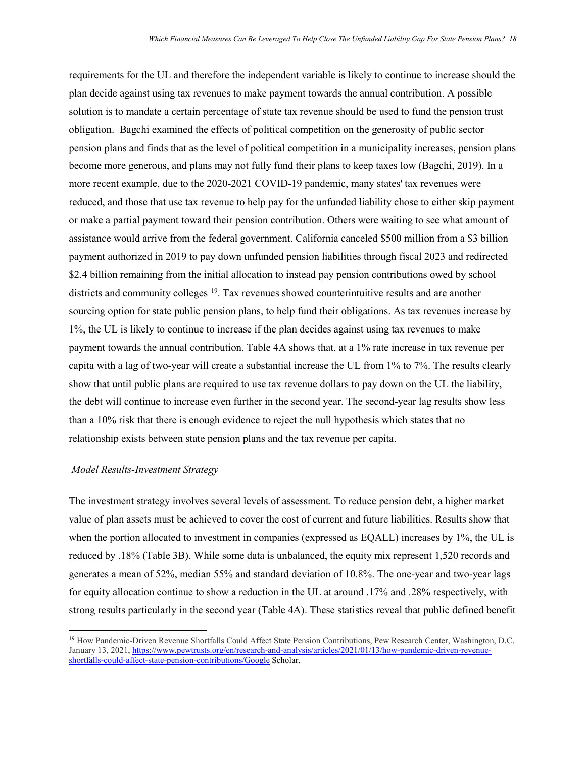requirements for the UL and therefore the independent variable is likely to continue to increase should the plan decide against using tax revenues to make payment towards the annual contribution. A possible solution is to mandate a certain percentage of state tax revenue should be used to fund the pension trust obligation. Bagchi examined the effects of political competition on the generosity of public sector pension plans and finds that as the level of political competition in a municipality increases, pension plans become more generous, and plans may not fully fund their plans to keep taxes low (Bagchi, 2019). In a more recent example, due to the 2020-2021 COVID-19 pandemic, many states' tax revenues were reduced, and those that use tax revenue to help pay for the unfunded liability chose to either skip payment or make a partial payment toward their pension contribution. Others were waiting to see what amount of assistance would arrive from the federal government. California canceled \$500 million from a \$3 billion payment authorized in 2019 to pay down unfunded pension liabilities through fiscal 2023 and redirected \$2.4 billion remaining from the initial allocation to instead pay pension contributions owed by school districts and community colleges <sup>[19](#page-17-0)</sup>. Tax revenues showed counterintuitive results and are another sourcing option for state public pension plans, to help fund their obligations. As tax revenues increase by 1%, the UL is likely to continue to increase if the plan decides against using tax revenues to make payment towards the annual contribution. Table 4A shows that, at a 1% rate increase in tax revenue per capita with a lag of two-year will create a substantial increase the UL from 1% to 7%. The results clearly show that until public plans are required to use tax revenue dollars to pay down on the UL the liability, the debt will continue to increase even further in the second year. The second-year lag results show less than a 10% risk that there is enough evidence to reject the null hypothesis which states that no relationship exists between state pension plans and the tax revenue per capita.

#### *Model Results-Investment Strategy*

 $\overline{\phantom{a}}$ 

The investment strategy involves several levels of assessment. To reduce pension debt, a higher market value of plan assets must be achieved to cover the cost of current and future liabilities. Results show that when the portion allocated to investment in companies (expressed as EQALL) increases by 1%, the UL is reduced by .18% (Table 3B). While some data is unbalanced, the equity mix represent 1,520 records and generates a mean of 52%, median 55% and standard deviation of 10.8%. The one-year and two-year lags for equity allocation continue to show a reduction in the UL at around .17% and .28% respectively, with strong results particularly in the second year (Table 4A). These statistics reveal that public defined benefit

<span id="page-17-0"></span><sup>19</sup> How Pandemic-Driven Revenue Shortfalls Could Affect State Pension Contributions, Pew Research Center, Washington, D.C. January 13, 2021, [https://www.pewtrusts.org/en/research-and-](https://www.pewtrusts.org/en/research-and-analysis/articles/2021/01/13/how-pandemic-driven-revenue-shortfalls-could-affect-state-pension-contributions/Google)analysis/articles/2021/01/13/how-pandemic-driven-revenue[shortfalls-could-affect-state-pension-contributions/Google](https://www.pewtrusts.org/en/research-and-analysis/articles/2021/01/13/how-pandemic-driven-revenue-shortfalls-could-affect-state-pension-contributions/Google) Scholar.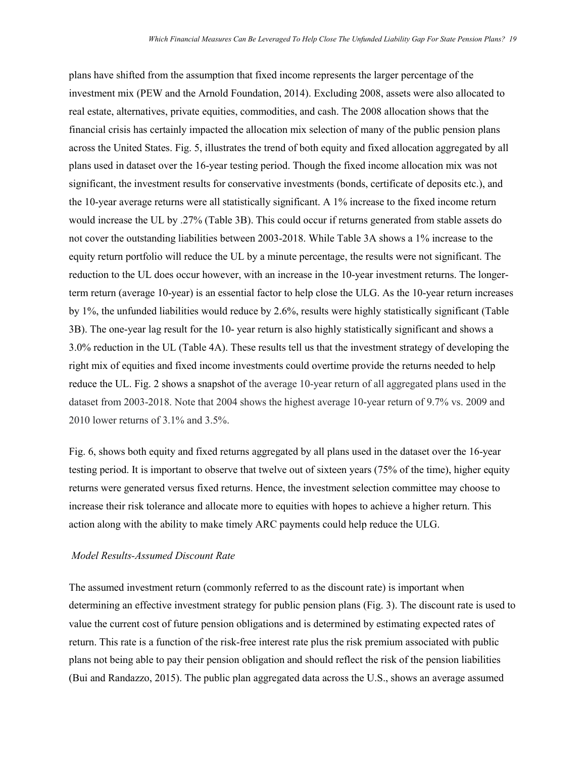plans have shifted from the assumption that fixed income represents the larger percentage of the investment mix (PEW and the Arnold Foundation, 2014). Excluding 2008, assets were also allocated to real estate, alternatives, private equities, commodities, and cash. The 2008 allocation shows that the financial crisis has certainly impacted the allocation mix selection of many of the public pension plans across the United States. Fig. 5, illustrates the trend of both equity and fixed allocation aggregated by all plans used in dataset over the 16-year testing period. Though the fixed income allocation mix was not significant, the investment results for conservative investments (bonds, certificate of deposits etc.), and the 10-year average returns were all statistically significant. A 1% increase to the fixed income return would increase the UL by .27% (Table 3B). This could occur if returns generated from stable assets do not cover the outstanding liabilities between 2003-2018. While Table 3A shows a 1% increase to the equity return portfolio will reduce the UL by a minute percentage, the results were not significant. The reduction to the UL does occur however, with an increase in the 10-year investment returns. The longerterm return (average 10-year) is an essential factor to help close the ULG. As the 10-year return increases by 1%, the unfunded liabilities would reduce by 2.6%, results were highly statistically significant (Table 3B). The one-year lag result for the 10- year return is also highly statistically significant and shows a 3.0% reduction in the UL (Table 4A). These results tell us that the investment strategy of developing the right mix of equities and fixed income investments could overtime provide the returns needed to help reduce the UL. Fig. 2 shows a snapshot of the average 10-year return of all aggregated plans used in the dataset from 2003-2018. Note that 2004 shows the highest average 10-year return of 9.7% vs. 2009 and 2010 lower returns of 3.1% and 3.5%.

Fig. 6, shows both equity and fixed returns aggregated by all plans used in the dataset over the 16-year testing period. It is important to observe that twelve out of sixteen years (75% of the time), higher equity returns were generated versus fixed returns. Hence, the investment selection committee may choose to increase their risk tolerance and allocate more to equities with hopes to achieve a higher return. This action along with the ability to make timely ARC payments could help reduce the ULG.

#### *Model Results-Assumed Discount Rate*

The assumed investment return (commonly referred to as the discount rate) is important when determining an effective investment strategy for public pension plans (Fig. 3). The discount rate is used to value the current cost of future pension obligations and is determined by estimating expected rates of return. This rate is a function of the risk-free interest rate plus the risk premium associated with public plans not being able to pay their pension obligation and should reflect the risk of the pension liabilities (Bui and Randazzo, 2015). The public plan aggregated data across the U.S., shows an average assumed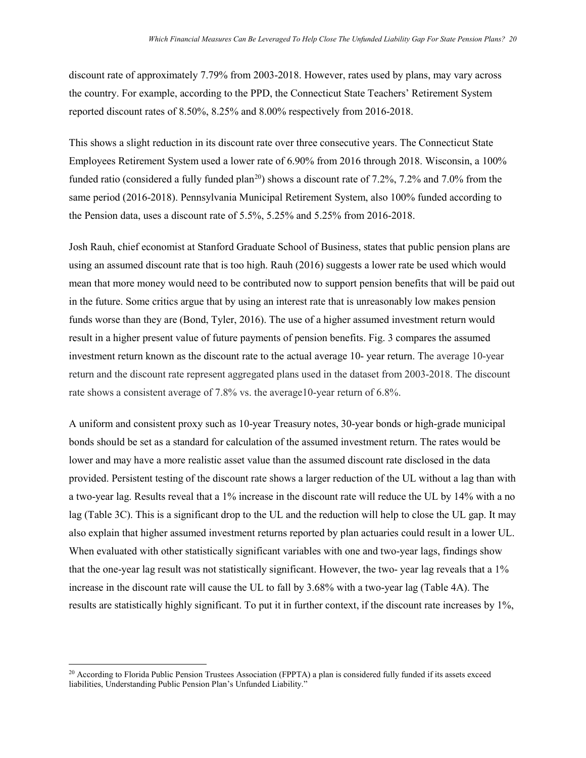discount rate of approximately 7.79% from 2003-2018. However, rates used by plans, may vary across the country. For example, according to the PPD, the Connecticut State Teachers' Retirement System reported discount rates of 8.50%, 8.25% and 8.00% respectively from 2016-2018.

This shows a slight reduction in its discount rate over three consecutive years. The Connecticut State Employees Retirement System used a lower rate of 6.90% from 2016 through 2018. Wisconsin, a 100% funded ratio (considered a fully funded plan<sup>[20](#page-19-0)</sup>) shows a discount rate of 7.2%, 7.2% and 7.0% from the same period (2016-2018). Pennsylvania Municipal Retirement System, also 100% funded according to the Pension data, uses a discount rate of 5.5%, 5.25% and 5.25% from 2016-2018.

Josh Rauh, chief economist at Stanford Graduate School of Business, states that public pension plans are using an assumed discount rate that is too high. Rauh (2016) suggests a lower rate be used which would mean that more money would need to be contributed now to support pension benefits that will be paid out in the future. Some critics argue that by using an interest rate that is unreasonably low makes pension funds worse than they are (Bond, Tyler, 2016). The use of a higher assumed investment return would result in a higher present value of future payments of pension benefits. Fig. 3 compares the assumed investment return known as the discount rate to the actual average 10- year return. The average 10-year return and the discount rate represent aggregated plans used in the dataset from 2003-2018. The discount rate shows a consistent average of 7.8% vs. the average10-year return of 6.8%.

A uniform and consistent proxy such as 10-year Treasury notes, 30-year bonds or high-grade municipal bonds should be set as a standard for calculation of the assumed investment return. The rates would be lower and may have a more realistic asset value than the assumed discount rate disclosed in the data provided. Persistent testing of the discount rate shows a larger reduction of the UL without a lag than with a two-year lag. Results reveal that a 1% increase in the discount rate will reduce the UL by 14% with a no lag (Table 3C). This is a significant drop to the UL and the reduction will help to close the UL gap. It may also explain that higher assumed investment returns reported by plan actuaries could result in a lower UL. When evaluated with other statistically significant variables with one and two-year lags, findings show that the one-year lag result was not statistically significant. However, the two- year lag reveals that a 1% increase in the discount rate will cause the UL to fall by 3.68% with a two-year lag (Table 4A). The results are statistically highly significant. To put it in further context, if the discount rate increases by 1%,

 $\overline{a}$ 

<span id="page-19-0"></span> $20$  According to Florida Public Pension Trustees Association (FPPTA) a plan is considered fully funded if its assets exceed liabilities, Understanding Public Pension Plan's Unfunded Liability."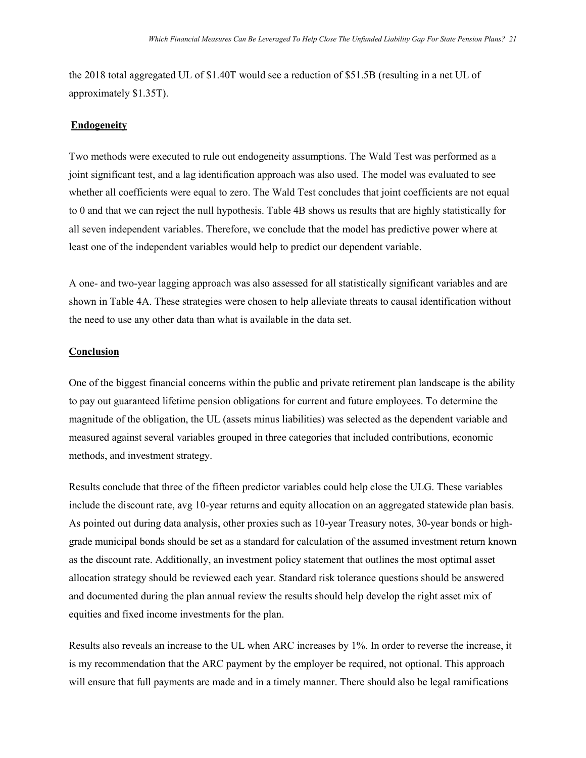the 2018 total aggregated UL of \$1.40T would see a reduction of \$51.5B (resulting in a net UL of approximately \$1.35T).

#### **Endogeneity**

Two methods were executed to rule out endogeneity assumptions. The Wald Test was performed as a joint significant test, and a lag identification approach was also used. The model was evaluated to see whether all coefficients were equal to zero. The Wald Test concludes that joint coefficients are not equal to 0 and that we can reject the null hypothesis. Table 4B shows us results that are highly statistically for all seven independent variables. Therefore, we conclude that the model has predictive power where at least one of the independent variables would help to predict our dependent variable.

A one- and two-year lagging approach was also assessed for all statistically significant variables and are shown in Table 4A. These strategies were chosen to help alleviate threats to causal identification without the need to use any other data than what is available in the data set.

#### **Conclusion**

One of the biggest financial concerns within the public and private retirement plan landscape is the ability to pay out guaranteed lifetime pension obligations for current and future employees. To determine the magnitude of the obligation, the UL (assets minus liabilities) was selected as the dependent variable and measured against several variables grouped in three categories that included contributions, economic methods, and investment strategy.

Results conclude that three of the fifteen predictor variables could help close the ULG. These variables include the discount rate, avg 10-year returns and equity allocation on an aggregated statewide plan basis. As pointed out during data analysis, other proxies such as 10-year Treasury notes, 30-year bonds or highgrade municipal bonds should be set as a standard for calculation of the assumed investment return known as the discount rate. Additionally, an investment policy statement that outlines the most optimal asset allocation strategy should be reviewed each year. Standard risk tolerance questions should be answered and documented during the plan annual review the results should help develop the right asset mix of equities and fixed income investments for the plan.

Results also reveals an increase to the UL when ARC increases by 1%. In order to reverse the increase, it is my recommendation that the ARC payment by the employer be required, not optional. This approach will ensure that full payments are made and in a timely manner. There should also be legal ramifications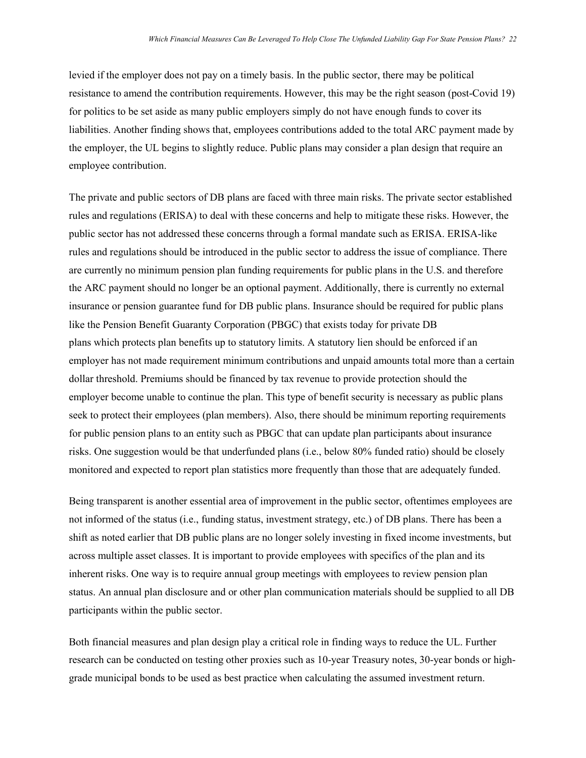levied if the employer does not pay on a timely basis. In the public sector, there may be political resistance to amend the contribution requirements. However, this may be the right season (post-Covid 19) for politics to be set aside as many public employers simply do not have enough funds to cover its liabilities. Another finding shows that, employees contributions added to the total ARC payment made by the employer, the UL begins to slightly reduce. Public plans may consider a plan design that require an employee contribution.

The private and public sectors of DB plans are faced with three main risks. The private sector established rules and regulations (ERISA) to deal with these concerns and help to mitigate these risks. However, the public sector has not addressed these concerns through a formal mandate such as ERISA. ERISA-like rules and regulations should be introduced in the public sector to address the issue of compliance. There are currently no minimum pension plan funding requirements for public plans in the U.S. and therefore the ARC payment should no longer be an optional payment. Additionally, there is currently no external insurance or pension guarantee fund for DB public plans. Insurance should be required for public plans like the Pension Benefit Guaranty Corporation (PBGC) that exists today for private DB plans which protects plan benefits up to statutory limits. A statutory lien should be enforced if an employer has not made requirement minimum contributions and unpaid amounts total more than a certain dollar threshold. Premiums should be financed by tax revenue to provide protection should the employer become unable to continue the plan. This type of benefit security is necessary as public plans seek to protect their employees (plan members). Also, there should be minimum reporting requirements for public pension plans to an entity such as PBGC that can update plan participants about insurance risks. One suggestion would be that underfunded plans (i.e., below 80% funded ratio) should be closely monitored and expected to report plan statistics more frequently than those that are adequately funded.

Being transparent is another essential area of improvement in the public sector, oftentimes employees are not informed of the status (i.e., funding status, investment strategy, etc.) of DB plans. There has been a shift as noted earlier that DB public plans are no longer solely investing in fixed income investments, but across multiple asset classes. It is important to provide employees with specifics of the plan and its inherent risks. One way is to require annual group meetings with employees to review pension plan status. An annual plan disclosure and or other plan communication materials should be supplied to all DB participants within the public sector.

Both financial measures and plan design play a critical role in finding ways to reduce the UL. Further research can be conducted on testing other proxies such as 10-year Treasury notes, 30-year bonds or highgrade municipal bonds to be used as best practice when calculating the assumed investment return.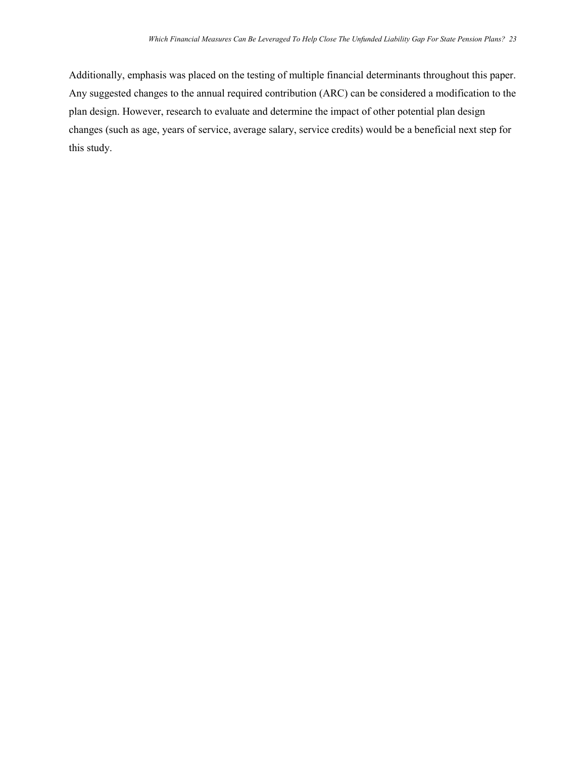Additionally, emphasis was placed on the testing of multiple financial determinants throughout this paper. Any suggested changes to the annual required contribution (ARC) can be considered a modification to the plan design. However, research to evaluate and determine the impact of other potential plan design changes (such as age, years of service, average salary, service credits) would be a beneficial next step for this study.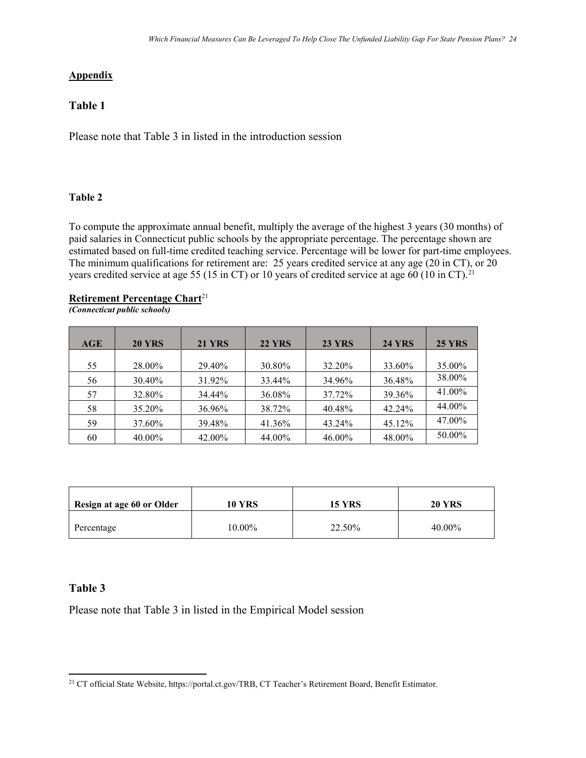## **Appendix**

## **Table 1**

Please note that Table 3 in listed in the introduction session

## **Table 2**

To compute the approximate annual benefit, multiply the average of the highest 3 years (30 months) of paid salaries in Connecticut public schools by the appropriate percentage. The percentage shown are estimated based on full-time credited teaching service. Percentage will be lower for part-time employees. The minimum qualifications for retirement are: 25 years credited service at any age (20 in CT), or 20 years credited service at age 55 (15 in CT) or 10 years of credited service at age 60 (10 in CT).<sup>[21](#page-23-0)</sup>

## **Retirement Percentage Chart**<sup>21</sup>

*(Connecticut public schools)*

| AGE | <b>20 YRS</b> | <b>21 YRS</b> | <b>22 YRS</b> | <b>23 YRS</b> | <b>24 YRS</b> | <b>25 YRS</b> |
|-----|---------------|---------------|---------------|---------------|---------------|---------------|
|     |               |               |               |               |               |               |
| 55  | 28.00%        | 29.40%        | 30.80%        | 32.20%        | 33.60%        | 35.00%        |
| 56  | 30.40%        | 31.92%        | 33.44%        | 34.96%        | 36.48%        | 38.00%        |
| 57  | 32.80%        | 34.44%        | 36.08%        | 37.72%        | 39.36%        | 41.00%        |
| 58  | 35.20%        | 36.96%        | 38.72%        | 40.48%        | 42.24%        | 44.00%        |
| 59  | 37.60%        | 39.48%        | 41.36%        | 43.24%        | 45.12%        | 47.00%        |
| 60  | 40.00%        | 42.00%        | 44.00%        | 46.00%        | 48.00%        | 50.00%        |

| Resign at age 60 or Older | 10 YRS | 15 YRS | <b>20 YRS</b> |
|---------------------------|--------|--------|---------------|
| Percentage                | 10.00% | 22.50% | 40.00%        |

## **Table 3**

Please note that Table 3 in listed in the Empirical Model session

<span id="page-23-0"></span>l <sup>21</sup> CT official State Website, https://portal.ct.gov/TRB, CT Teacher's Retirement Board, Benefit Estimator.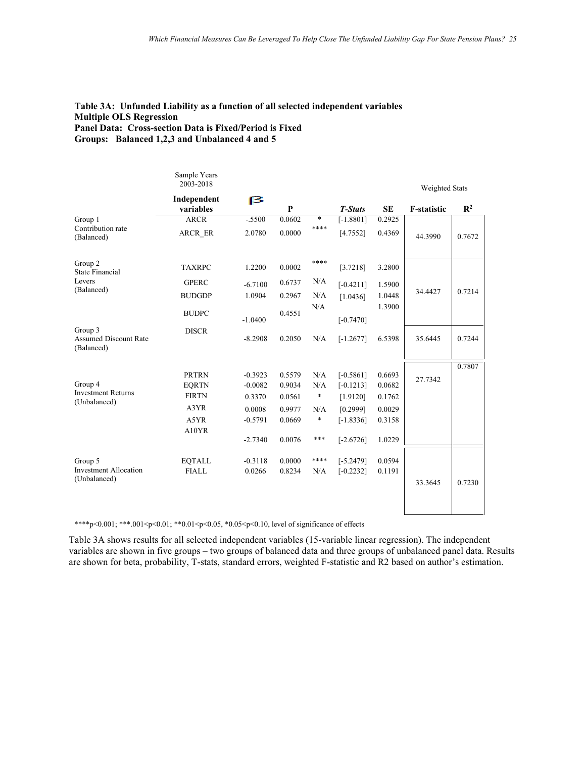#### **Table 3A: Unfunded Liability as a function of all selected independent variables Multiple OLS Regression Panel Data: Cross-section Data is Fixed/Period is Fixed Groups: Balanced 1,2,3 and Unbalanced 4 and 5**

| Sample Years<br>2003-2018 |                                                       |                                            |                                      |                                   |                                                    |                                      |                           |
|---------------------------|-------------------------------------------------------|--------------------------------------------|--------------------------------------|-----------------------------------|----------------------------------------------------|--------------------------------------|---------------------------|
| Independent<br>variables  | 13                                                    | P                                          |                                      | <b>T-Stats</b>                    | <b>SE</b>                                          | <b>F-statistic</b>                   | $\mathbb{R}^2$            |
| <b>ARCR</b>               | $-.5500$                                              | 0.0602                                     | $\ast$                               | $[-1.8801]$                       | 0.2925                                             |                                      |                           |
| ARCR ER                   | 2.0780                                                | 0.0000                                     |                                      | [4.7552]                          | 0.4369                                             | 44.3990                              | 0.7672                    |
| <b>TAXRPC</b>             | 1.2200                                                | 0.0002                                     | ****                                 | [3.7218]                          | 3.2800                                             |                                      |                           |
| <b>GPERC</b>              | $-6.7100$                                             | 0.6737                                     | N/A                                  | $[-0.4211]$                       | 1.5900                                             |                                      |                           |
| <b>BUDGDP</b>             | 1.0904                                                | 0.2967                                     | N/A                                  | [1.0436]                          | 1.0448                                             |                                      | 0.7214                    |
| <b>BUDPC</b>              | $-1.0400$                                             | 0.4551                                     | N/A                                  | $[-0.7470]$                       | 1.3900                                             |                                      |                           |
| <b>DISCR</b>              | $-8.2908$                                             | 0.2050                                     | N/A                                  | $[-1.2677]$                       | 6.5398                                             | 35.6445                              | 0.7244                    |
|                           |                                                       |                                            |                                      |                                   |                                                    |                                      | 0.7807                    |
| <b>PRTRN</b>              | $-0.3923$                                             | 0.5579                                     | N/A                                  | $[-0.5861]$                       | 0.6693                                             | 27.7342                              |                           |
|                           |                                                       |                                            |                                      |                                   |                                                    |                                      |                           |
|                           |                                                       |                                            |                                      |                                   |                                                    |                                      |                           |
|                           |                                                       |                                            |                                      |                                   |                                                    |                                      |                           |
|                           |                                                       |                                            |                                      |                                   |                                                    |                                      |                           |
|                           | $-2.7340$                                             | 0.0076                                     | ***                                  | $[-2.6726]$                       | 1.0229                                             |                                      |                           |
| <b>EQTALL</b>             | $-0.3118$                                             | 0.0000                                     | ****                                 | $[-5.2479]$                       | 0.0594                                             |                                      |                           |
| <b>FIALL</b>              | 0.0266                                                | 0.8234                                     | N/A                                  | $[-0.2232]$                       | 0.1191                                             |                                      |                           |
|                           |                                                       |                                            |                                      |                                   |                                                    | 33.3645                              | 0.7230                    |
|                           | <b>EQRTN</b><br><b>FIRTN</b><br>A3YR<br>A5YR<br>A10YR | $-0.0082$<br>0.3370<br>0.0008<br>$-0.5791$ | 0.9034<br>0.0561<br>0.9977<br>0.0669 | ****<br>N/A<br>∗<br>N/A<br>$\ast$ | $[-0.1213]$<br>[1.9120]<br>[0.2999]<br>$[-1.8336]$ | 0.0682<br>0.1762<br>0.0029<br>0.3158 | Weighted Stats<br>34.4427 |

\*\*\*\*p<0.001; \*\*\*.001<p<0.01; \*\*0.01<p<0.05, \*0.05<p<0.10, level of significance of effects

Table 3A shows results for all selected independent variables (15-variable linear regression). The independent variables are shown in five groups – two groups of balanced data and three groups of unbalanced panel data. Results are shown for beta, probability, T-stats, standard errors, weighted F-statistic and R2 based on author's estimation.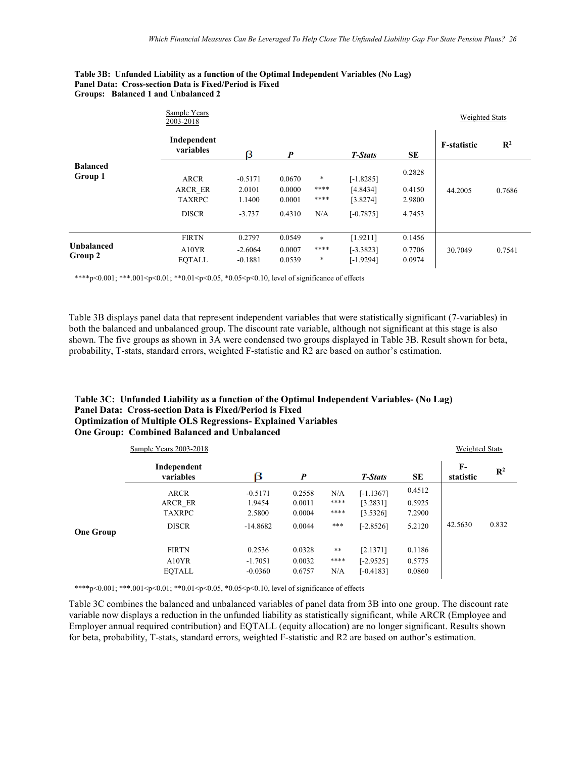#### **Table 3B: Unfunded Liability as a function of the Optimal Independent Variables (No Lag) Panel Data: Cross-section Data is Fixed/Period is Fixed Groups: Balanced 1 and Unbalanced 2**

|                            | Sample Years<br>2003-2018 |                        |                  |              |                            |                  | <b>Weighted Stats</b> |                |
|----------------------------|---------------------------|------------------------|------------------|--------------|----------------------------|------------------|-----------------------|----------------|
|                            | Independent<br>variables  | β                      | $\boldsymbol{p}$ |              | T-Stats                    | <b>SE</b>        | <b>F-statistic</b>    | $\mathbb{R}^2$ |
| <b>Balanced</b><br>Group 1 | <b>ARCR</b>               | $-0.5171$              | 0.0670           | *            | $[-1.8285]$                | 0.2828           |                       |                |
|                            | ARCR ER<br><b>TAXRPC</b>  | 2.0101<br>1.1400       | 0.0000<br>0.0001 | ****<br>**** | [4.8434]<br>[3.8274]       | 0.4150<br>2.9800 | 44.2005               | 0.7686         |
|                            | <b>DISCR</b>              | $-3.737$               | 0.4310           | N/A          | $[-0.7875]$                | 4.7453           |                       |                |
| <b>Unbalanced</b>          | <b>FIRTN</b>              | 0.2797                 | 0.0549           | $*$          | [1.9211]                   | 0.1456           |                       |                |
| Group 2                    | A10YR<br><b>EOTALL</b>    | $-2.6064$<br>$-0.1881$ | 0.0007<br>0.0539 | ****<br>*    | $[-3.3823]$<br>$[-1.9294]$ | 0.7706<br>0.0974 | 30.7049               | 0.7541         |

\*\*\*\*p<0.001; \*\*\*.001<p<0.01; \*\*0.01<p<0.05, \*0.05<p<0.10, level of significance of effects

Table 3B displays panel data that represent independent variables that were statistically significant (7-variables) in both the balanced and unbalanced group. The discount rate variable, although not significant at this stage is also shown. The five groups as shown in 3A were condensed two groups displayed in Table 3B. Result shown for beta, probability, T-stats, standard errors, weighted F-statistic and R2 are based on author's estimation.

#### **Table 3C: Unfunded Liability as a function of the Optimal Independent Variables- (No Lag) Panel Data: Cross-section Data is Fixed/Period is Fixed Optimization of Multiple OLS Regressions- Explained Variables One Group: Combined Balanced and Unbalanced**

|                  | Sample Years 2003-2018   |            |                  |            |             |           | <b>Weighted Stats</b> |                |
|------------------|--------------------------|------------|------------------|------------|-------------|-----------|-----------------------|----------------|
|                  | Independent<br>variables | β          | $\boldsymbol{P}$ |            | T-Stats     | <b>SE</b> | $F-$<br>statistic     | $\mathbb{R}^2$ |
|                  | ARCR                     | $-0.5171$  | 0.2558           | N/A        | $[-1.1367]$ | 0.4512    |                       |                |
|                  | ARCR ER                  | 1.9454     | 0.0011           | ****       | [3.2831]    | 0.5925    |                       |                |
|                  | <b>TAXRPC</b>            | 2.5800     | 0.0004           | ****       | [3.5326]    | 7.2900    |                       |                |
| <b>One Group</b> | <b>DISCR</b>             | $-14.8682$ | 0.0044           | ***        | $[-2.8526]$ | 5.2120    | 42.5630               | 0.832          |
|                  | <b>FIRTN</b>             | 0.2536     | 0.0328           | $\ast\ast$ | [2.1371]    | 0.1186    |                       |                |
|                  | A10YR                    | $-1.7051$  | 0.0032           | ****       | $[-2.9525]$ | 0.5775    |                       |                |
|                  | <b>EOTALL</b>            | $-0.0360$  | 0.6757           | N/A        | $[-0.4183]$ | 0.0860    |                       |                |

\*\*\*\*p<0.001; \*\*\*.001<p<0.01; \*\*0.01<p<0.05, \*0.05<p<0.10, level of significance of effects

Table 3C combines the balanced and unbalanced variables of panel data from 3B into one group. The discount rate variable now displays a reduction in the unfunded liability as statistically significant, while ARCR (Employee and Employer annual required contribution) and EQTALL (equity allocation) are no longer significant. Results shown for beta, probability, T-stats, standard errors, weighted F-statistic and R2 are based on author's estimation.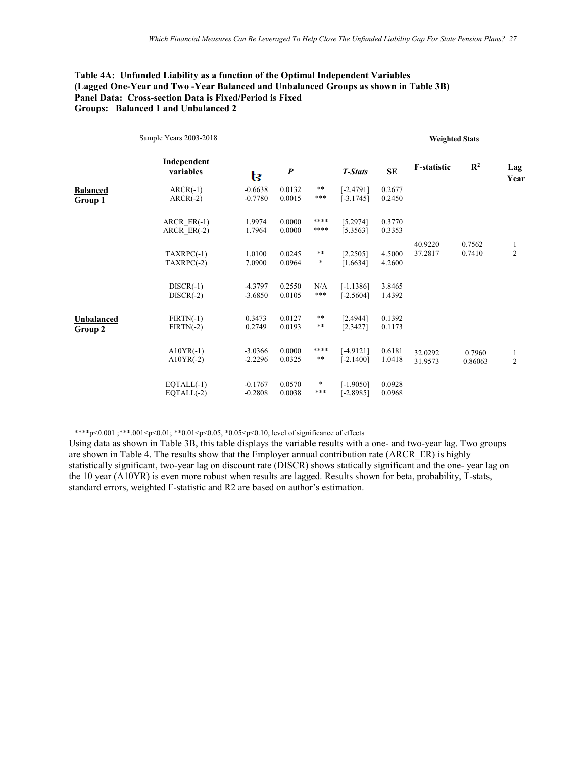#### **Table 4A: Unfunded Liability as a function of the Optimal Independent Variables (Lagged One-Year and Two -Year Balanced and Unbalanced Groups as shown in Table 3B) Panel Data: Cross-section Data is Fixed/Period is Fixed Groups: Balanced 1 and Unbalanced 2**

|                            | Sample Years 2003-2018         |                        |                  |                 |                            |                  | <b>Weighted Stats</b> |                   |                     |
|----------------------------|--------------------------------|------------------------|------------------|-----------------|----------------------------|------------------|-----------------------|-------------------|---------------------|
|                            | Independent<br>variables       | β                      | $\boldsymbol{P}$ |                 | <b>T-Stats</b>             | <b>SE</b>        | <b>F-statistic</b>    | $\mathbb{R}^2$    | Lag<br>Year         |
| <b>Balanced</b><br>Group 1 | $ARCR(-1)$<br>$ARCR(-2)$       | $-0.6638$<br>$-0.7780$ | 0.0132<br>0.0015 | $***$<br>***    | $[-2.4791]$<br>$[-3.1745]$ | 0.2677<br>0.2450 |                       |                   |                     |
|                            | $ARCR ER(-1)$<br>ARCR $ER(-2)$ | 1.9974<br>1.7964       | 0.0000<br>0.0000 | ****<br>****    | [5.2974]<br>[5.3563]       | 0.3770<br>0.3353 |                       |                   |                     |
|                            | $TAXRPC(-1)$<br>$TAXRPC(-2)$   | 1.0100<br>7.0900       | 0.0245<br>0.0964 | $***$<br>$\ast$ | [2.2505]<br>[1.6634]       | 4.5000<br>4.2600 | 40.9220<br>37.2817    | 0.7562<br>0.7410  | 1<br>$\overline{c}$ |
|                            | $DISCR(-1)$<br>$DISCR(-2)$     | $-4.3797$<br>$-3.6850$ | 0.2550<br>0.0105 | N/A<br>***      | $[-1.1386]$<br>$[-2.5604]$ | 3.8465<br>1.4392 |                       |                   |                     |
| Unbalanced<br>Group 2      | $FIRTN(-1)$<br>$FIRTN(-2)$     | 0.3473<br>0.2749       | 0.0127<br>0.0193 | $***$<br>$***$  | [2.4944]<br>[2.3427]       | 0.1392<br>0.1173 |                       |                   |                     |
|                            | $A10YR(-1)$<br>$A10YR(-2)$     | $-3.0366$<br>$-2.2296$ | 0.0000<br>0.0325 | ****<br>$***$   | $[-4.9121]$<br>$[-2.1400]$ | 0.6181<br>1.0418 | 32.0292<br>31.9573    | 0.7960<br>0.86063 | 1<br>$\overline{2}$ |
|                            | $EOTAL(-1)$<br>$EOTAL(-2)$     | $-0.1767$<br>$-0.2808$ | 0.0570<br>0.0038 | *<br>***        | $[-1.9050]$<br>$[-2.8985]$ | 0.0928<br>0.0968 |                       |                   |                     |

\*\*\*\*p<0.001 ;\*\*\*.001<p<0.01; \*\*0.01<p<0.05, \*0.05<p<0.10, level of significance of effects

Using data as shown in Table 3B, this table displays the variable results with a one- and two-year lag. Two groups are shown in Table 4. The results show that the Employer annual contribution rate (ARCR\_ER) is highly statistically significant, two-year lag on discount rate (DISCR) shows statically significant and the one- year lag on the 10 year (A10YR) is even more robust when results are lagged. Results shown for beta, probability, T-stats, standard errors, weighted F-statistic and R2 are based on author's estimation.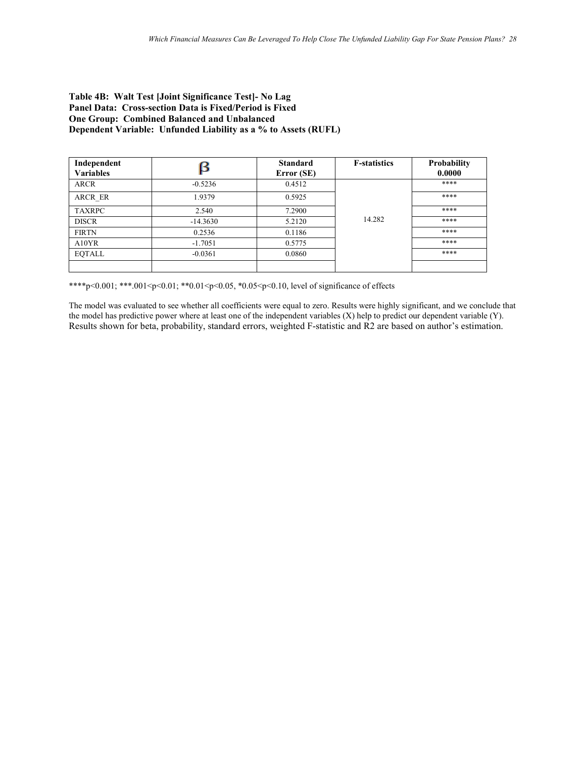#### **Table 4B: Walt Test [Joint Significance Test]- No Lag Panel Data: Cross-section Data is Fixed/Period is Fixed One Group: Combined Balanced and Unbalanced Dependent Variable: Unfunded Liability as a % to Assets (RUFL)**

| Independent<br><b>Variables</b> | ß          | <b>Standard</b><br>Error (SE) | <b>F-statistics</b> | Probability<br>0.0000 |
|---------------------------------|------------|-------------------------------|---------------------|-----------------------|
| <b>ARCR</b>                     | $-0.5236$  | 0.4512                        |                     | ****                  |
| ARCR ER                         | 1.9379     | 0.5925                        |                     | ****                  |
| <b>TAXRPC</b>                   | 2.540      | 7.2900                        |                     | ****                  |
| <b>DISCR</b>                    | $-14.3630$ | 5.2120                        | 14.282              | ****                  |
| <b>FIRTN</b>                    | 0.2536     | 0.1186                        |                     | ****                  |
| A10YR                           | $-1.7051$  | 0.5775                        |                     | ****                  |
| <b>EOTALL</b>                   | $-0.0361$  | 0.0860                        |                     | ****                  |
|                                 |            |                               |                     |                       |

\*\*\*\*p<0.001; \*\*\*.001<p<0.01; \*\*0.01<p<0.05, \*0.05<p<0.10, level of significance of effects

The model was evaluated to see whether all coefficients were equal to zero. Results were highly significant, and we conclude that the model has predictive power where at least one of the independent variables (X) help to predict our dependent variable (Y). Results shown for beta, probability, standard errors, weighted F-statistic and R2 are based on author's estimation.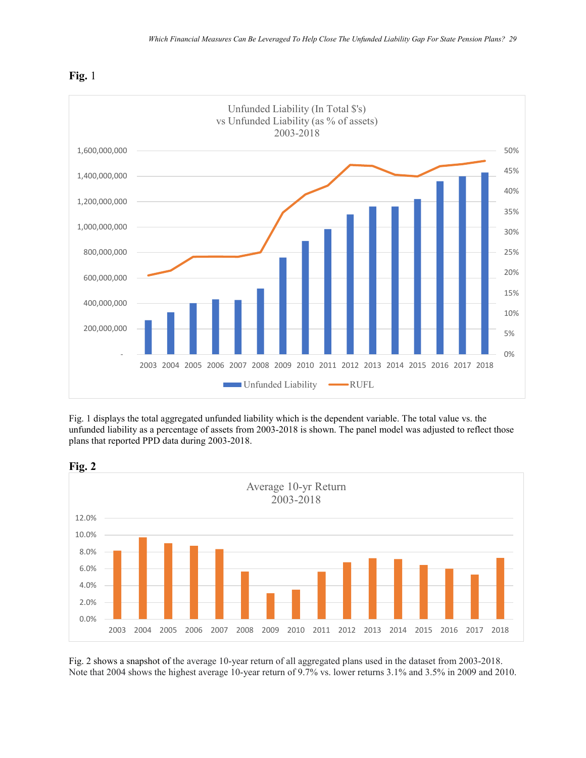

**Fig.** 1

Fig. 1 displays the total aggregated unfunded liability which is the dependent variable. The total value vs. the unfunded liability as a percentage of assets from 2003-2018 is shown. The panel model was adjusted to reflect those plans that reported PPD data during 2003-2018.



Fig. 2 shows a snapshot of the average 10-year return of all aggregated plans used in the dataset from 2003-2018. Note that 2004 shows the highest average 10-year return of 9.7% vs. lower returns 3.1% and 3.5% in 2009 and 2010.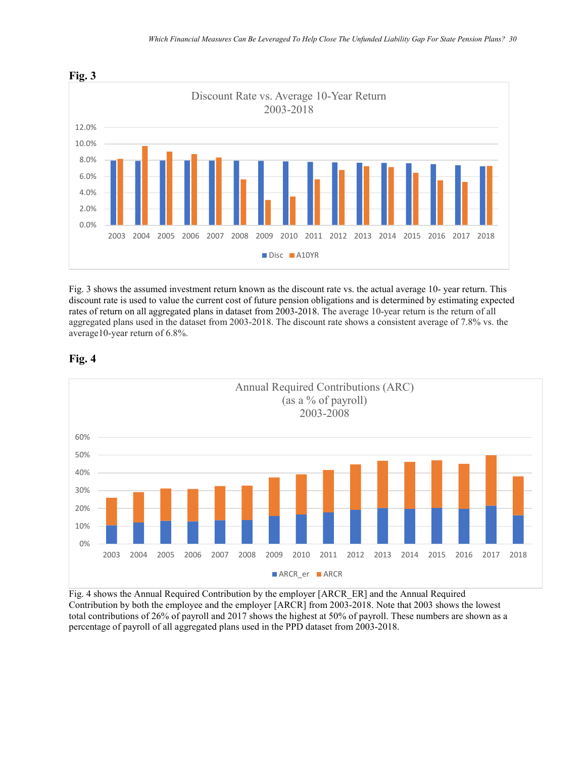

Fig. 3 shows the assumed investment return known as the discount rate vs. the actual average 10- year return. This discount rate is used to value the current cost of future pension obligations and is determined by estimating expected rates of return on all aggregated plans in dataset from 2003-2018. The average 10-year return is the return of all aggregated plans used in the dataset from 2003-2018. The discount rate shows a consistent average of 7.8% vs. the average10-year return of 6.8%.



#### **Fig. 4**

Fig. 4 shows the Annual Required Contribution by the employer [ARCR\_ER] and the Annual Required Contribution by both the employee and the employer [ARCR] from 2003-2018. Note that 2003 shows the lowest total contributions of 26% of payroll and 2017 shows the highest at 50% of payroll. These numbers are shown as a percentage of payroll of all aggregated plans used in the PPD dataset from 2003-2018.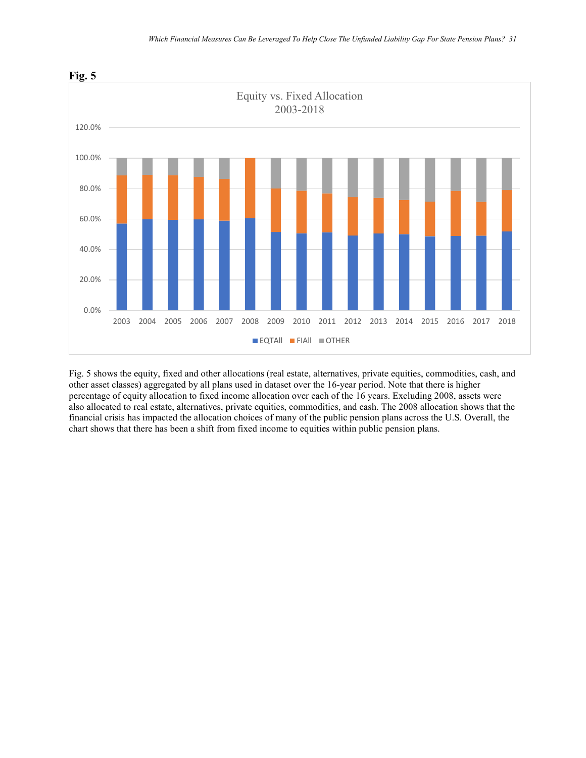

Fig. 5 shows the equity, fixed and other allocations (real estate, alternatives, private equities, commodities, cash, and other asset classes) aggregated by all plans used in dataset over the 16-year period. Note that there is higher percentage of equity allocation to fixed income allocation over each of the 16 years. Excluding 2008, assets were also allocated to real estate, alternatives, private equities, commodities, and cash. The 2008 allocation shows that the financial crisis has impacted the allocation choices of many of the public pension plans across the U.S. Overall, the chart shows that there has been a shift from fixed income to equities within public pension plans.

### **Fig. 5**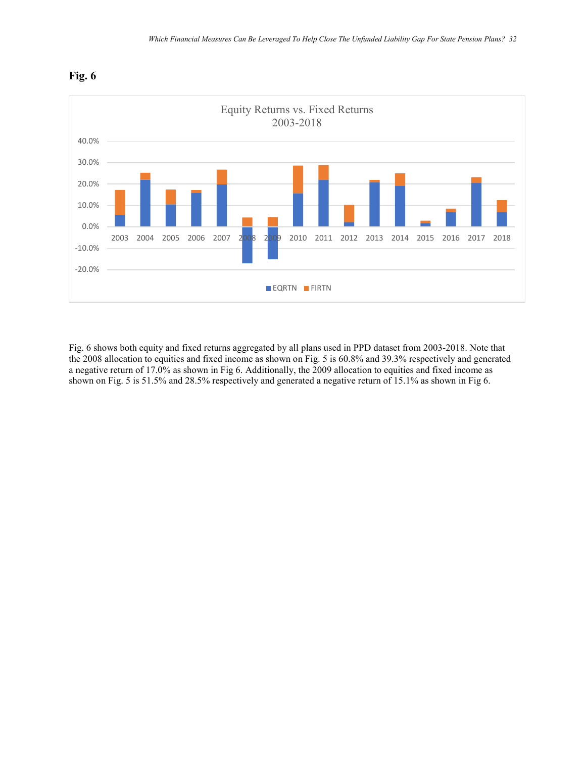



Fig. 6 shows both equity and fixed returns aggregated by all plans used in PPD dataset from 2003-2018. Note that the 2008 allocation to equities and fixed income as shown on Fig. 5 is 60.8% and 39.3% respectively and generated a negative return of 17.0% as shown in Fig 6. Additionally, the 2009 allocation to equities and fixed income as shown on Fig. 5 is 51.5% and 28.5% respectively and generated a negative return of 15.1% as shown in Fig 6.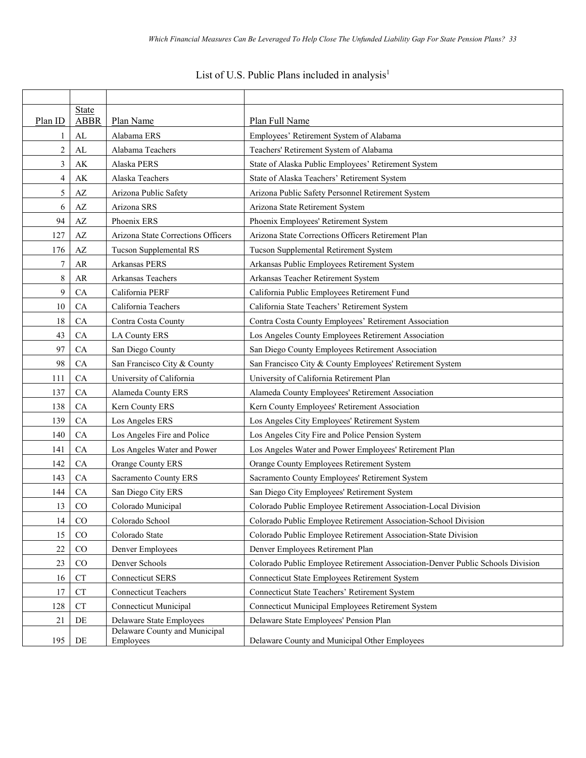# List of U.S. Public Plans included in analysis<sup>1</sup>

| Plan ID        | State<br><b>ABBR</b>   | Plan Name                                  | Plan Full Name                                                                 |
|----------------|------------------------|--------------------------------------------|--------------------------------------------------------------------------------|
|                | AL                     | Alabama ERS                                | Employees' Retirement System of Alabama                                        |
| $\overline{c}$ | ${\rm AL}$             | Alabama Teachers                           | Teachers' Retirement System of Alabama                                         |
| 3              | AK                     | Alaska PERS                                | State of Alaska Public Employees' Retirement System                            |
| 4              | $\mathbf{A}\mathbf{K}$ | Alaska Teachers                            | State of Alaska Teachers' Retirement System                                    |
| 5              | AZ                     | Arizona Public Safety                      | Arizona Public Safety Personnel Retirement System                              |
| 6              | $\mathbf{A}\mathbf{Z}$ | Arizona SRS                                | Arizona State Retirement System                                                |
| 94             | $\mathbf{A}\mathbf{Z}$ | Phoenix ERS                                | Phoenix Employees' Retirement System                                           |
| 127            | AZ                     | Arizona State Corrections Officers         | Arizona State Corrections Officers Retirement Plan                             |
| 176            | $\mathbf{A}\mathbf{Z}$ | Tucson Supplemental RS                     | Tucson Supplemental Retirement System                                          |
| 7              | AR                     | Arkansas PERS                              | Arkansas Public Employees Retirement System                                    |
| 8              | AR                     | Arkansas Teachers                          | Arkansas Teacher Retirement System                                             |
| 9              | CA                     | California PERF                            | California Public Employees Retirement Fund                                    |
| 10             | CA                     | California Teachers                        | California State Teachers' Retirement System                                   |
| 18             | CA                     | Contra Costa County                        | Contra Costa County Employees' Retirement Association                          |
| 43             | CA                     | <b>LA County ERS</b>                       | Los Angeles County Employees Retirement Association                            |
| 97             | CA                     | San Diego County                           | San Diego County Employees Retirement Association                              |
| 98             | CA                     | San Francisco City & County                | San Francisco City & County Employees' Retirement System                       |
| 111            | CA                     | University of California                   | University of California Retirement Plan                                       |
| 137            | ${\rm CA}$             | Alameda County ERS                         | Alameda County Employees' Retirement Association                               |
| 138            | CA                     | Kern County ERS                            | Kern County Employees' Retirement Association                                  |
| 139            | CA                     | Los Angeles ERS                            | Los Angeles City Employees' Retirement System                                  |
| 140            | CA                     | Los Angeles Fire and Police                | Los Angeles City Fire and Police Pension System                                |
| 141            | CA                     | Los Angeles Water and Power                | Los Angeles Water and Power Employees' Retirement Plan                         |
| 142            | CA                     | Orange County ERS                          | Orange County Employees Retirement System                                      |
| 143            | CA                     | Sacramento County ERS                      | Sacramento County Employees' Retirement System                                 |
| 144            | CA                     | San Diego City ERS                         | San Diego City Employees' Retirement System                                    |
| 13             | CO                     | Colorado Municipal                         | Colorado Public Employee Retirement Association-Local Division                 |
| 14             | CO                     | Colorado School                            | Colorado Public Employee Retirement Association-School Division                |
| 15             | CO                     | Colorado State                             | Colorado Public Employee Retirement Association-State Division                 |
| 22             | CO                     | Denver Employees                           | Denver Employees Retirement Plan                                               |
| 23             | CO                     | Denver Schools                             | Colorado Public Employee Retirement Association-Denver Public Schools Division |
| 16             | CT                     | <b>Connecticut SERS</b>                    | <b>Connecticut State Employees Retirement System</b>                           |
| 17             | ${\cal C}{\cal T}$     | <b>Connecticut Teachers</b>                | Connecticut State Teachers' Retirement System                                  |
| 128            | <b>CT</b>              | Connecticut Municipal                      | Connecticut Municipal Employees Retirement System                              |
| 21             | DE                     | Delaware State Employees                   | Delaware State Employees' Pension Plan                                         |
| 195            | DE                     | Delaware County and Municipal<br>Employees | Delaware County and Municipal Other Employees                                  |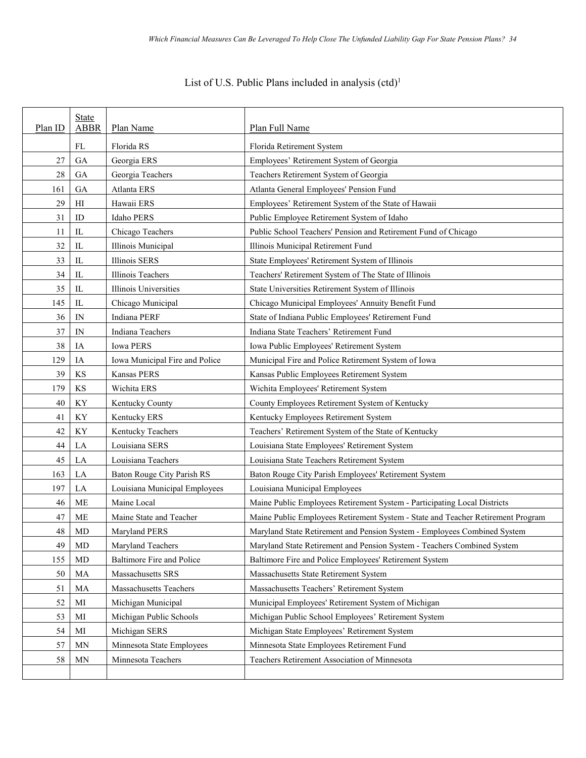| List of U.S. Public Plans included in analysis (ctd) <sup>1</sup> |  |  |  |
|-------------------------------------------------------------------|--|--|--|
|                                                                   |  |  |  |

| Plan ID | <b>State</b><br><b>ABBR</b> | Plan Name                      | Plan Full Name                                                                  |
|---------|-----------------------------|--------------------------------|---------------------------------------------------------------------------------|
|         | FL                          | Florida RS                     | Florida Retirement System                                                       |
| 27      | GA                          | Georgia ERS                    | Employees' Retirement System of Georgia                                         |
| $28\,$  | GA                          | Georgia Teachers               | Teachers Retirement System of Georgia                                           |
| 161     | GA                          | Atlanta ERS                    | Atlanta General Employees' Pension Fund                                         |
| 29      | H                           | Hawaii ERS                     | Employees' Retirement System of the State of Hawaii                             |
| 31      | ID                          | <b>Idaho PERS</b>              | Public Employee Retirement System of Idaho                                      |
| 11      | IL                          | Chicago Teachers               | Public School Teachers' Pension and Retirement Fund of Chicago                  |
| 32      | IL                          | Illinois Municipal             | Illinois Municipal Retirement Fund                                              |
| 33      | IL                          | Illinois SERS                  | State Employees' Retirement System of Illinois                                  |
| 34      | IL                          | Illinois Teachers              | Teachers' Retirement System of The State of Illinois                            |
| 35      | IL                          | Illinois Universities          | State Universities Retirement System of Illinois                                |
| 145     | IL                          | Chicago Municipal              | Chicago Municipal Employees' Annuity Benefit Fund                               |
| 36      | IN                          | Indiana PERF                   | State of Indiana Public Employees' Retirement Fund                              |
| 37      | IN                          | Indiana Teachers               | Indiana State Teachers' Retirement Fund                                         |
| 38      | IA                          | <b>Iowa PERS</b>               | Iowa Public Employees' Retirement System                                        |
| 129     | IA                          | Iowa Municipal Fire and Police | Municipal Fire and Police Retirement System of Iowa                             |
| 39      | KS                          | Kansas PERS                    | Kansas Public Employees Retirement System                                       |
| 179     | KS                          | Wichita ERS                    | Wichita Employees' Retirement System                                            |
| 40      | ΚY                          | Kentucky County                | County Employees Retirement System of Kentucky                                  |
| 41      | KY                          | Kentucky ERS                   | Kentucky Employees Retirement System                                            |
| 42      | ΚY                          | Kentucky Teachers              | Teachers' Retirement System of the State of Kentucky                            |
| 44      | LA                          | Louisiana SERS                 | Louisiana State Employees' Retirement System                                    |
| 45      | LA                          | Louisiana Teachers             | Louisiana State Teachers Retirement System                                      |
| 163     | LA                          | Baton Rouge City Parish RS     | Baton Rouge City Parish Employees' Retirement System                            |
| 197     | LA                          | Louisiana Municipal Employees  | Louisiana Municipal Employees                                                   |
| 46      | ME                          | Maine Local                    | Maine Public Employees Retirement System - Participating Local Districts        |
| 47      | ME                          | Maine State and Teacher        | Maine Public Employees Retirement System - State and Teacher Retirement Program |
| 48      | MD                          | Maryland PERS                  | Maryland State Retirement and Pension System - Employees Combined System        |
| 49      | MD                          | Maryland Teachers              | Maryland State Retirement and Pension System - Teachers Combined System         |
| 155     | MD                          | Baltimore Fire and Police      | Baltimore Fire and Police Employees' Retirement System                          |
| 50      | MA                          | Massachusetts SRS              | Massachusetts State Retirement System                                           |
| 51      | MA                          | Massachusetts Teachers         | Massachusetts Teachers' Retirement System                                       |
| 52      | MI                          | Michigan Municipal             | Municipal Employees' Retirement System of Michigan                              |
| 53      | MI                          | Michigan Public Schools        | Michigan Public School Employees' Retirement System                             |
| 54      | MI                          | Michigan SERS                  | Michigan State Employees' Retirement System                                     |
| 57      | <b>MN</b>                   | Minnesota State Employees      | Minnesota State Employees Retirement Fund                                       |
| 58      | <b>MN</b>                   | Minnesota Teachers             | Teachers Retirement Association of Minnesota                                    |
|         |                             |                                |                                                                                 |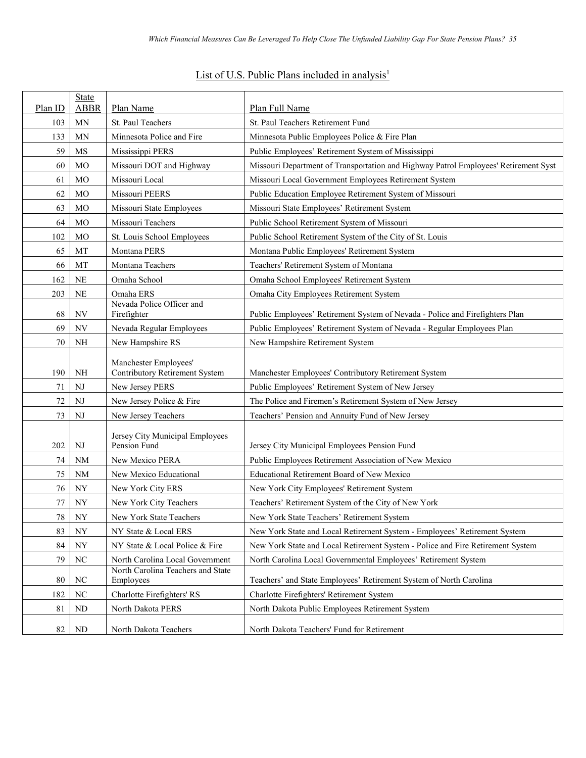| List of U.S. Public Plans included in analysis <sup>1</sup> |
|-------------------------------------------------------------|
|-------------------------------------------------------------|

| Plan ID  | State<br><b>ABBR</b> | Plan Name                                                            | Plan Full Name                                                                      |
|----------|----------------------|----------------------------------------------------------------------|-------------------------------------------------------------------------------------|
| 103      | <b>MN</b>            | St. Paul Teachers                                                    | St. Paul Teachers Retirement Fund                                                   |
| 133      | <b>MN</b>            | Minnesota Police and Fire                                            | Minnesota Public Employees Police & Fire Plan                                       |
| 59       | MS                   | Mississippi PERS                                                     | Public Employees' Retirement System of Mississippi                                  |
| 60       | MO                   | Missouri DOT and Highway                                             | Missouri Department of Transportation and Highway Patrol Employees' Retirement Syst |
| 61       | <b>MO</b>            | Missouri Local                                                       | Missouri Local Government Employees Retirement System                               |
| 62       | MO                   | Missouri PEERS                                                       | Public Education Employee Retirement System of Missouri                             |
| 63       | <b>MO</b>            | Missouri State Employees                                             | Missouri State Employees' Retirement System                                         |
| 64       | MO                   | Missouri Teachers                                                    | Public School Retirement System of Missouri                                         |
| 102      | MO                   | St. Louis School Employees                                           | Public School Retirement System of the City of St. Louis                            |
| 65       | MT                   | Montana PERS                                                         | Montana Public Employees' Retirement System                                         |
| 66       | MT                   | Montana Teachers                                                     | Teachers' Retirement System of Montana                                              |
| 162      | NE                   | Omaha School                                                         | Omaha School Employees' Retirement System                                           |
| 203      | NE                   | Omaha ERS                                                            | Omaha City Employees Retirement System                                              |
|          |                      | Nevada Police Officer and                                            |                                                                                     |
| 68       | NV                   | Firefighter                                                          | Public Employees' Retirement System of Nevada - Police and Firefighters Plan        |
| 69       | NV                   | Nevada Regular Employees                                             | Public Employees' Retirement System of Nevada - Regular Employees Plan              |
| 70       | NH                   | New Hampshire RS                                                     | New Hampshire Retirement System                                                     |
|          |                      | Manchester Employees'                                                |                                                                                     |
| 190      | <b>NH</b>            | Contributory Retirement System                                       | Manchester Employees' Contributory Retirement System                                |
| 71<br>72 | NJ                   | New Jersey PERS                                                      | Public Employees' Retirement System of New Jersey                                   |
|          | NJ                   | New Jersey Police & Fire                                             | The Police and Firemen's Retirement System of New Jersey                            |
| 73       | NJ                   | New Jersey Teachers                                                  | Teachers' Pension and Annuity Fund of New Jersey                                    |
|          |                      | Jersey City Municipal Employees                                      |                                                                                     |
| 202      | NJ                   | Pension Fund                                                         | Jersey City Municipal Employees Pension Fund                                        |
| 74       | <b>NM</b>            | New Mexico PERA                                                      | Public Employees Retirement Association of New Mexico                               |
| 75       | <b>NM</b>            | New Mexico Educational                                               | Educational Retirement Board of New Mexico                                          |
| 76       | NY                   | New York City ERS                                                    | New York City Employees' Retirement System                                          |
| 77       | <b>NY</b>            | New York City Teachers                                               | Teachers' Retirement System of the City of New York                                 |
| 78       | NY                   | New York State Teachers                                              | New York State Teachers' Retirement System                                          |
| 83       | ${\rm NY}$           | NY State & Local ERS                                                 | New York State and Local Retirement System - Employees' Retirement System           |
| 84       | NY                   | NY State & Local Police & Fire                                       | New York State and Local Retirement System - Police and Fire Retirement System      |
| 79       | $_{\mathrm{NC}}$     | North Carolina Local Government<br>North Carolina Teachers and State | North Carolina Local Governmental Employees' Retirement System                      |
| 80       | NC                   | Employees                                                            | Teachers' and State Employees' Retirement System of North Carolina                  |
| 182      | $\rm NC$             | Charlotte Firefighters' RS                                           | Charlotte Firefighters' Retirement System                                           |
| 81       | ND                   | North Dakota PERS                                                    | North Dakota Public Employees Retirement System                                     |
| 82       | ND                   | North Dakota Teachers                                                | North Dakota Teachers' Fund for Retirement                                          |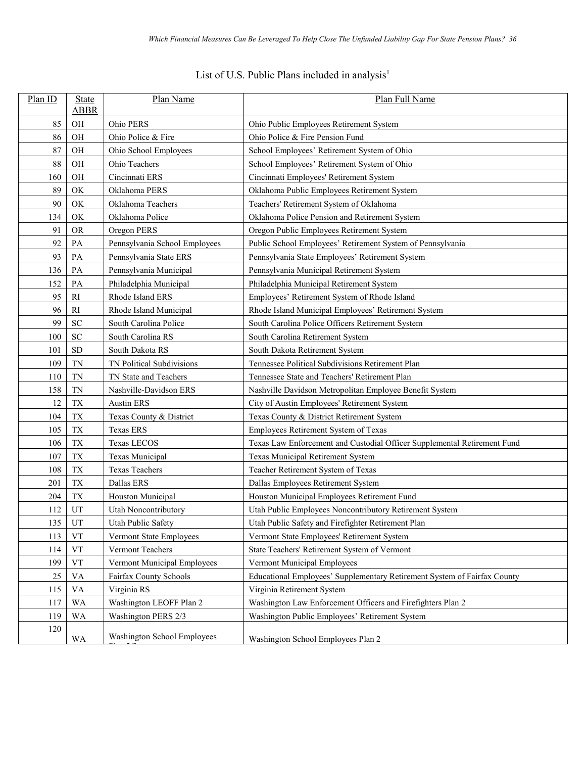# List of U.S. Public Plans included in analysis<sup>1</sup>

| Plan ID | State<br><b>ABBR</b> | Plan Name                     | Plan Full Name                                                           |
|---------|----------------------|-------------------------------|--------------------------------------------------------------------------|
| 85      | OH                   | Ohio PERS                     | Ohio Public Employees Retirement System                                  |
| 86      | OH                   | Ohio Police & Fire            | Ohio Police & Fire Pension Fund                                          |
| 87      | OH                   | Ohio School Employees         | School Employees' Retirement System of Ohio                              |
| 88      | OH                   | Ohio Teachers                 | School Employees' Retirement System of Ohio                              |
| 160     | OH                   | Cincinnati ERS                | Cincinnati Employees' Retirement System                                  |
| 89      | OK                   | Oklahoma PERS                 | Oklahoma Public Employees Retirement System                              |
| 90      | OK                   | Oklahoma Teachers             | Teachers' Retirement System of Oklahoma                                  |
| 134     | OK                   | Oklahoma Police               | Oklahoma Police Pension and Retirement System                            |
| 91      | <b>OR</b>            | Oregon PERS                   | Oregon Public Employees Retirement System                                |
| 92      | PA                   | Pennsylvania School Employees | Public School Employees' Retirement System of Pennsylvania               |
| 93      | PA                   | Pennsylvania State ERS        | Pennsylvania State Employees' Retirement System                          |
| 136     | PA                   | Pennsylvania Municipal        | Pennsylvania Municipal Retirement System                                 |
| 152     | PA                   | Philadelphia Municipal        | Philadelphia Municipal Retirement System                                 |
| 95      | R1                   | Rhode Island ERS              | Employees' Retirement System of Rhode Island                             |
| 96      | RI                   | Rhode Island Municipal        | Rhode Island Municipal Employees' Retirement System                      |
| 99      | <b>SC</b>            | South Carolina Police         | South Carolina Police Officers Retirement System                         |
| 100     | <b>SC</b>            | South Carolina RS             | South Carolina Retirement System                                         |
| 101     | <b>SD</b>            | South Dakota RS               | South Dakota Retirement System                                           |
| 109     | <b>TN</b>            | TN Political Subdivisions     | Tennessee Political Subdivisions Retirement Plan                         |
| 110     | <b>TN</b>            | TN State and Teachers         | Tennessee State and Teachers' Retirement Plan                            |
| 158     | <b>TN</b>            | Nashville-Davidson ERS        | Nashville Davidson Metropolitan Employee Benefit System                  |
| 12      | <b>TX</b>            | <b>Austin ERS</b>             | City of Austin Employees' Retirement System                              |
| 104     | TX                   | Texas County & District       | Texas County & District Retirement System                                |
| 105     | <b>TX</b>            | Texas ERS                     | Employees Retirement System of Texas                                     |
| 106     | <b>TX</b>            | <b>Texas LECOS</b>            | Texas Law Enforcement and Custodial Officer Supplemental Retirement Fund |
| 107     | <b>TX</b>            | Texas Municipal               | Texas Municipal Retirement System                                        |
| 108     | <b>TX</b>            | <b>Texas Teachers</b>         | Teacher Retirement System of Texas                                       |
| 201     | <b>TX</b>            | Dallas ERS                    | Dallas Employees Retirement System                                       |
| 204     | <b>TX</b>            | Houston Municipal             | Houston Municipal Employees Retirement Fund                              |
| 112     | UT                   | <b>Utah Noncontributory</b>   | Utah Public Employees Noncontributory Retirement System                  |
| 135     | UT                   | <b>Utah Public Safety</b>     | Utah Public Safety and Firefighter Retirement Plan                       |
| 113     | <b>VT</b>            | Vermont State Employees       | Vermont State Employees' Retirement System                               |
| 114     | ${\rm VT}$           | Vermont Teachers              | State Teachers' Retirement System of Vermont                             |
| 199     | <b>VT</b>            | Vermont Municipal Employees   | Vermont Municipal Employees                                              |
| 25      | <b>VA</b>            | Fairfax County Schools        | Educational Employees' Supplementary Retirement System of Fairfax County |
| 115     | VA                   | Virginia RS                   | Virginia Retirement System                                               |
| 117     | WA                   | Washington LEOFF Plan 2       | Washington Law Enforcement Officers and Firefighters Plan 2              |
| 119     | <b>WA</b>            | Washington PERS 2/3           | Washington Public Employees' Retirement System                           |
| 120     | WA                   | Washington School Employees   | Washington School Employees Plan 2                                       |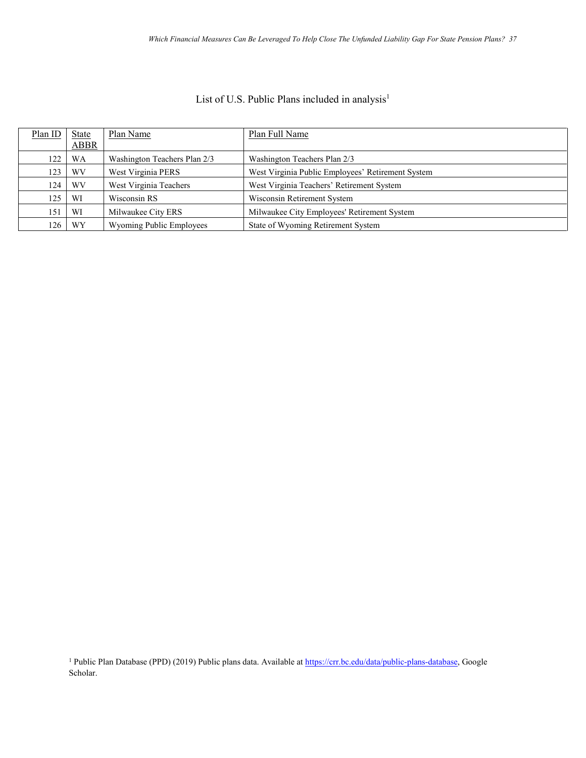## List of U.S. Public Plans included in analysis<sup>1</sup>

| Plan ID | <b>State</b> | Plan Name                    | Plan Full Name                                    |
|---------|--------------|------------------------------|---------------------------------------------------|
|         | ABBR         |                              |                                                   |
| 122     | WA           | Washington Teachers Plan 2/3 | Washington Teachers Plan 2/3                      |
| 123     | WV           | West Virginia PERS           | West Virginia Public Employees' Retirement System |
| 124     | WV           | West Virginia Teachers       | West Virginia Teachers' Retirement System         |
| 125     | WI           | Wisconsin RS                 | Wisconsin Retirement System                       |
| 151     | WI           | Milwaukee City ERS           | Milwaukee City Employees' Retirement System       |
| 126     | WY           | Wyoming Public Employees     | State of Wyoming Retirement System                |

<sup>1</sup> Public Plan Database (PPD) (2019) Public plans data. Available at [https://crr.bc.edu/data/public-plans-database,](https://crr.bc.edu/data/public-plans-database) Google Scholar.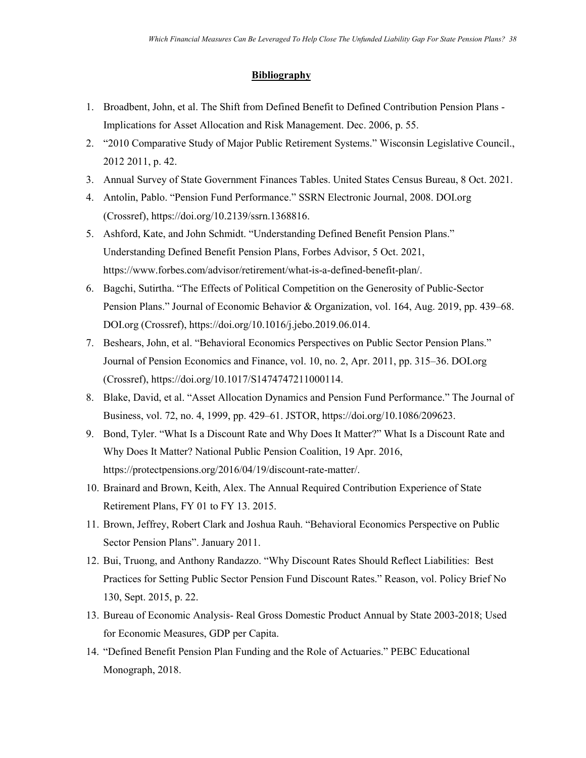## **Bibliography**

- 1. Broadbent, John, et al. The Shift from Defined Benefit to Defined Contribution Pension Plans Implications for Asset Allocation and Risk Management. Dec. 2006, p. 55.
- 2. "2010 Comparative Study of Major Public Retirement Systems." Wisconsin Legislative Council., 2012 2011, p. 42.
- 3. Annual Survey of State Government Finances Tables. United States Census Bureau, 8 Oct. 2021.
- 4. Antolin, Pablo. "Pension Fund Performance." SSRN Electronic Journal, 2008. DOI.org (Crossref), https://doi.org/10.2139/ssrn.1368816.
- 5. Ashford, Kate, and John Schmidt. "Understanding Defined Benefit Pension Plans." Understanding Defined Benefit Pension Plans, Forbes Advisor, 5 Oct. 2021, https://www.forbes.com/advisor/retirement/what-is-a-defined-benefit-plan/.
- 6. Bagchi, Sutirtha. "The Effects of Political Competition on the Generosity of Public-Sector Pension Plans." Journal of Economic Behavior & Organization, vol. 164, Aug. 2019, pp. 439–68. DOI.org (Crossref), https://doi.org/10.1016/j.jebo.2019.06.014.
- 7. Beshears, John, et al. "Behavioral Economics Perspectives on Public Sector Pension Plans." Journal of Pension Economics and Finance, vol. 10, no. 2, Apr. 2011, pp. 315–36. DOI.org (Crossref), https://doi.org/10.1017/S1474747211000114.
- 8. Blake, David, et al. "Asset Allocation Dynamics and Pension Fund Performance." The Journal of Business, vol. 72, no. 4, 1999, pp. 429–61. JSTOR, https://doi.org/10.1086/209623.
- 9. Bond, Tyler. "What Is a Discount Rate and Why Does It Matter?" What Is a Discount Rate and Why Does It Matter? National Public Pension Coalition, 19 Apr. 2016, https://protectpensions.org/2016/04/19/discount-rate-matter/.
- 10. Brainard and Brown, Keith, Alex. The Annual Required Contribution Experience of State Retirement Plans, FY 01 to FY 13. 2015.
- 11. Brown, Jeffrey, Robert Clark and Joshua Rauh. "Behavioral Economics Perspective on Public Sector Pension Plans". January 2011.
- 12. Bui, Truong, and Anthony Randazzo. "Why Discount Rates Should Reflect Liabilities: Best Practices for Setting Public Sector Pension Fund Discount Rates." Reason, vol. Policy Brief No 130, Sept. 2015, p. 22.
- 13. Bureau of Economic Analysis- Real Gross Domestic Product Annual by State 2003-2018; Used for Economic Measures, GDP per Capita.
- 14. "Defined Benefit Pension Plan Funding and the Role of Actuaries." PEBC Educational Monograph, 2018.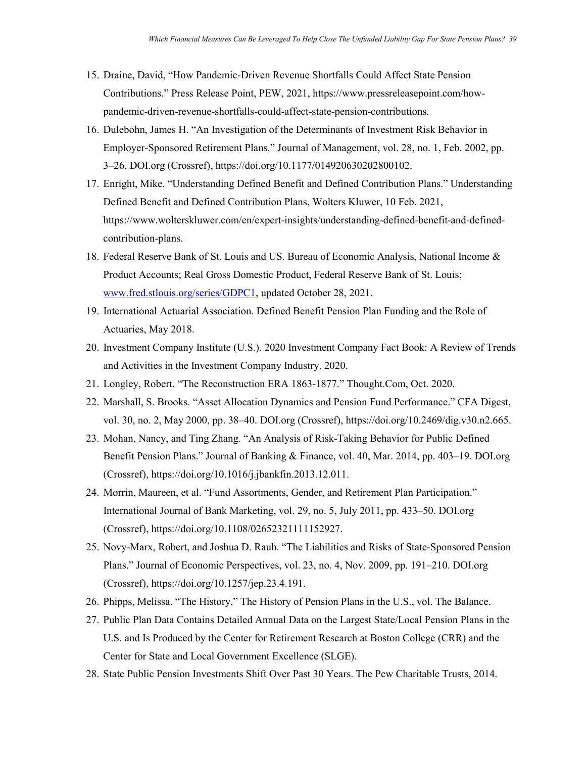- 15. Draine, David, "How Pandemic-Driven Revenue Shortfalls Could Affect State Pension Contributions." Press Release Point, PEW, 2021, https://www.pressreleasepoint.com/howpandemic-driven-revenue-shortfalls-could-affect-state-pension-contributions.
- 16. Dulebohn, James H. "An Investigation of the Determinants of Investment Risk Behavior in Employer-Sponsored Retirement Plans." Journal of Management, vol. 28, no. 1, Feb. 2002, pp. 3–26. DOI.org (Crossref), https://doi.org/10.1177/014920630202800102.
- 17. Enright, Mike. "Understanding Defined Benefit and Defined Contribution Plans." Understanding Defined Benefit and Defined Contribution Plans, Wolters Kluwer, 10 Feb. 2021, https://www.wolterskluwer.com/en/expert-insights/understanding-defined-benefit-and-definedcontribution-plans.
- 18. Federal Reserve Bank of St. Louis and US. Bureau of Economic Analysis, National Income & Product Accounts; Real Gross Domestic Product, Federal Reserve Bank of St. Louis; [www.fred.stlouis.org/series/GDPC1,](http://www.fred.stlouis.org/series/GDPC1) updated October 28, 2021.
- 19. International Actuarial Association. Defined Benefit Pension Plan Funding and the Role of Actuaries, May 2018.
- 20. Investment Company Institute (U.S.). 2020 Investment Company Fact Book: A Review of Trends and Activities in the Investment Company Industry. 2020.
- 21. Longley, Robert. "The Reconstruction ERA 1863-1877." Thought.Com, Oct. 2020.
- 22. Marshall, S. Brooks. "Asset Allocation Dynamics and Pension Fund Performance." CFA Digest, vol. 30, no. 2, May 2000, pp. 38–40. DOI.org (Crossref), https://doi.org/10.2469/dig.v30.n2.665.
- 23. Mohan, Nancy, and Ting Zhang. "An Analysis of Risk-Taking Behavior for Public Defined Benefit Pension Plans." Journal of Banking & Finance, vol. 40, Mar. 2014, pp. 403–19. DOI.org (Crossref), https://doi.org/10.1016/j.jbankfin.2013.12.011.
- 24. Morrin, Maureen, et al. "Fund Assortments, Gender, and Retirement Plan Participation." International Journal of Bank Marketing, vol. 29, no. 5, July 2011, pp. 433–50. DOI.org (Crossref), https://doi.org/10.1108/02652321111152927.
- 25. Novy-Marx, Robert, and Joshua D. Rauh. "The Liabilities and Risks of State-Sponsored Pension Plans." Journal of Economic Perspectives, vol. 23, no. 4, Nov. 2009, pp. 191–210. DOI.org (Crossref), https://doi.org/10.1257/jep.23.4.191.
- 26. Phipps, Melissa. "The History," The History of Pension Plans in the U.S., vol. The Balance.
- 27. Public Plan Data Contains Detailed Annual Data on the Largest State/Local Pension Plans in the U.S. and Is Produced by the Center for Retirement Research at Boston College (CRR) and the Center for State and Local Government Excellence (SLGE).
- 28. State Public Pension Investments Shift Over Past 30 Years. The Pew Charitable Trusts, 2014.